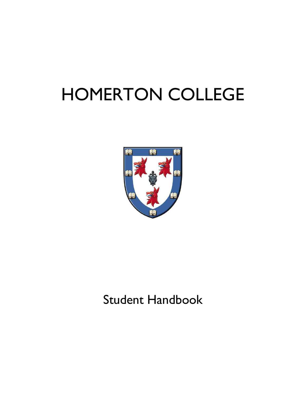# HOMERTON COLLEGE



# Student Handbook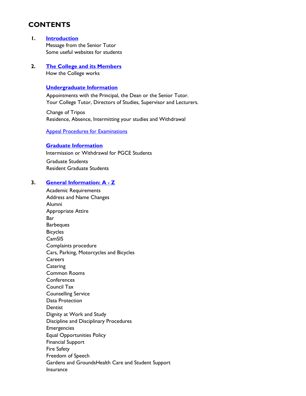# **CONTENTS**

#### **1. [Introduction](#page-3-0)**

Message from the Senior Tutor Some useful websites for students

#### **2. [The College and its Members](#page-6-0)** How the College works

#### **[Undergraduate Information](#page-9-0)**

Appointments with the Principal, the Dean or the Senior Tutor. Your College Tutor, Directors of Studies, Supervisor and Lecturers.

Change of Tripos Residence, Absence, Intermitting your studies and Withdrawal

<span id="page-1-0"></span>[Appeal Procedures for Examinations](#page-1-0)

#### **[Graduate Information](#page-13-0)**

Intermission or Withdrawal for PGCE Students Graduate Students Resident Graduate Students

#### **3. [General Information: A -](#page-15-0) Z**

Academic Requirements Address and Name Changes Alumni Appropriate Attire Bar **Barbeques** Bicycles **CamSIS** Complaints procedure Cars, Parking, Motorcycles and Bicycles **Careers Catering** Common Rooms **Conferences** Council Tax Counselling Service Data Protection Dentist Dignity at Work and Study Discipline and Disciplinary Procedures Emergencies Equal Opportunities Policy Financial Support Fire Safety Freedom of Speech Gardens and GroundsHealth Care and Student Support Insurance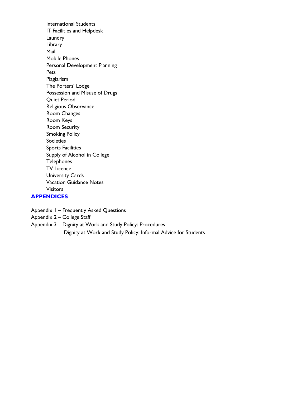International Students IT Facilities and Helpdesk Laundry Library Mail Mobile Phones Personal Development Planning Pets Plagiarism The Porters' Lodge Possession and Misuse of Drugs Quiet Period Religious Observance Room Changes Room Keys Room Security Smoking Policy Societies Sports Facilities Supply of Alcohol in College **Telephones** TV Licence University Cards Vacation Guidance Notes Visitors

#### **[APPENDICES](#page-44-0)**

Appendix 1 – Frequently Asked Questions

Appendix 2 – College Staff

Appendix 3 – Dignity at Work and Study Policy: Procedures

Dignity at Work and Study Policy: Informal Advice for Students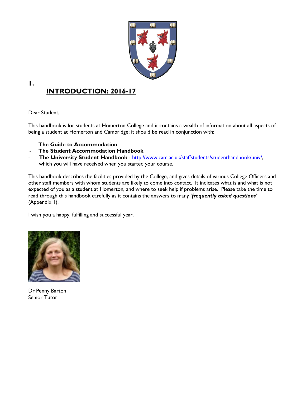

# **INTRODUCTION: 2016-17**

Dear Student,

<span id="page-3-0"></span>**1.**

This handbook is for students at Homerton College and it contains a wealth of information about all aspects of being a student at Homerton and Cambridge; it should be read in conjunction with:

- **The Guide to Accommodation**
- **The Student Accommodation Handbook**
- **The University Student Handbook** - [http://www.cam.ac.uk/staffstudents/studenthandbook/univ/,](http://www.cam.ac.uk/staffstudents/studenthandbook/univ/) which you will have received when you started your course.

This handbook describes the facilities provided by the College, and gives details of various College Officers and other staff members with whom students are likely to come into contact. It indicates what is and what is not expected of you as a student at Homerton, and where to seek help if problems arise. Please take the time to read through this handbook carefully as it contains the answers to many '*frequently asked questions'* (Appendix 1).

I wish you a happy, fulfilling and successful year.



Dr Penny Barton Senior Tutor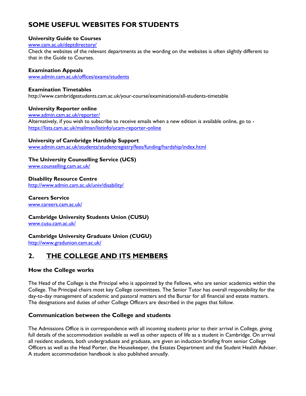# **SOME USEFUL WEBSITES FOR STUDENTS**

#### **University Guide to Courses**

[www.cam.ac.uk/deptdirectory/](http://www.cam.ac.uk/deptdirectory/)

Check the websites of the relevant departments as the wording on the websites is often slightly different to that in the Guide to Courses.

#### **Examination Appeals**

[www.admin.cam.ac.uk/offices/exams/students](http://www.admin.cam.ac.uk/offices/exams/students)

#### **Examination Timetables**

http://www.cambridgestudents.cam.ac.uk/your-course/examinations/all-students-timetable

#### **University Reporter online**

[www.admin.cam.ac.uk/reporter/](http://www.admin.cam.ac.uk/reporter/)  Alternatively, if you wish to subscribe to receive emails when a new edition is available online, go to <https://lists.cam.ac.uk/mailman/listinfo/ucam-reporter-online>

#### **University of Cambridge Hardship Support**

[www.admin.cam.ac.uk/students/studentregistry/fees/funding/hardship/index.html](http://www.admin.cam.ac.uk/students/studentregistry/fees/funding/hardship/index.html)

#### **The University Counselling Service (UCS)**

[www.counselling.cam.ac.uk/](http://www.counselling.cam.ac.uk/) 

# **Disability Resource Centre**

<http://www.admin.cam.ac.uk/univ/disability/>

# **Careers Service**

[www.careers.cam.ac.uk/](http://www.careers.cam.ac.uk/)

#### **Cambridge University Students Union (CUSU)**

[www.cusu.cam.ac.uk/](http://www.cusu.cam.ac.uk/) 

#### **Cambridge University Graduate Union (CUGU)**

<http://www.gradunion.cam.ac.uk/>

# **2. THE COLLEGE AND ITS MEMBERS**

#### **How the College works**

The Head of the College is the Principal who is appointed by the Fellows, who are senior academics within the College. The Principal chairs most key College committees. The Senior Tutor has overall responsibility for the day-to-day management of academic and pastoral matters and the Bursar for all financial and estate matters. The designations and duties of other College Officers are described in the pages that follow.

#### **Communication between the College and students**

The Admissions Office is in correspondence with all incoming students prior to their arrival in College, giving full details of the accommodation available as well as other aspects of life as a student in Cambridge. On arrival all resident students, both undergraduate and graduate, are given an induction briefing from senior College Officers as well as the Head Porter, the Housekeeper, the Estates Department and the Student Health Adviser. A student accommodation handbook is also published annually.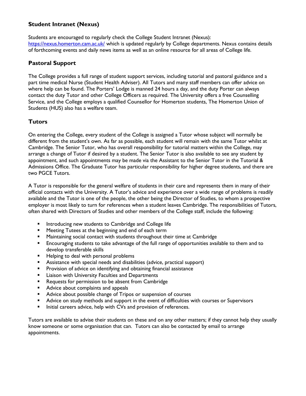#### **Student Intranet (Nexus)**

Students are encouraged to regularly check the College Student Intranet (Nexus): <https://nexus.homerton.cam.ac.uk/>which is updated regularly by College departments. Nexus contains details of forthcoming events and daily news items as well as an online resource for all areas of College life.

#### **Pastoral Support**

The College provides a full range of student support services, including tutorial and pastoral guidance and a part time medical Nurse (Student Health Adviser). All Tutors and many staff members can offer advice on where help can be found. The Porters' Lodge is manned 24 hours a day, and the duty Porter can always contact the duty Tutor and other College Officers as required. The University offers a free Counselling Service, and the College employs a qualified Counsellor for Homerton students, The Homerton Union of Students (HUS) also has a welfare team.

#### **Tutors**

On entering the College, every student of the College is assigned a Tutor whose subject will normally be different from the student's own. As far as possible, each student will remain with the same Tutor whilst at Cambridge. The Senior Tutor, who has overall responsibility for tutorial matters within the College, may arrange a change of Tutor if desired by a student. The Senior Tutor is also available to see any student by appointment, and such appointments may be made via the Assistant to the Senior Tutor in the Tutorial & Admissions Office. The Graduate Tutor has particular responsibility for higher degree students, and there are two PGCE Tutors.

A Tutor is responsible for the general welfare of students in their care and represents them in many of their official contacts with the University. A Tutor's advice and experience over a wide range of problems is readily available and the Tutor is one of the people, the other being the Director of Studies, to whom a prospective employer is most likely to turn for references when a student leaves Cambridge. The responsibilities of Tutors, often shared with Directors of Studies and other members of the College staff, include the following:

- **Introducing new students to Cambridge and College life**
- **EXECTE Meeting Tutees at the beginning and end of each term**
- **Maintaining social contact with students throughout their time at Cambridge**
- Encouraging students to take advantage of the full range of opportunities available to them and to develop transferable skills
- **Helping to deal with personal problems**
- Assistance with special needs and disabilities (advice, practical support)
- **Provision of advice on identifying and obtaining financial assistance**
- **EXECUTE:** Liaison with University Faculties and Departments
- **Requests for permission to be absent from Cambridge**
- **Advice about complaints and appeals**
- **Advice about possible change of Tripos or suspension of courses**
- Advice on study methods and support in the event of difficulties with courses or Supervisors
- Initial careers advice, help with CVs and provision of references.

Tutors are available to advise their students on these and on any other matters; if they cannot help they usually know someone or some organisation that can. Tutors can also be contacted by email to arrange appointments.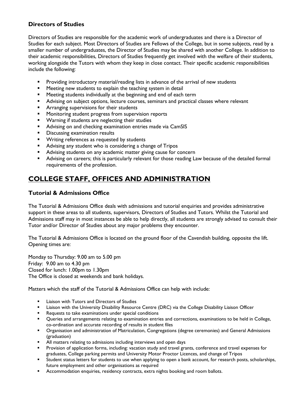#### **Directors of Studies**

Directors of Studies are responsible for the academic work of undergraduates and there is a Director of Studies for each subject. Most Directors of Studies are Fellows of the College, but in some subjects, read by a smaller number of undergraduates, the Director of Studies may be shared with another College. In addition to their academic responsibilities, Directors of Studies frequently get involved with the welfare of their students, working alongside the Tutors with whom they keep in close contact. Their specific academic responsibilities include the following:

- **Providing introductory material/reading lists in advance of the arrival of new students**
- **Meeting new students to explain the teaching system in detail**
- **Meeting students individually at the beginning and end of each term**
- Advising on subject options, lecture courses, seminars and practical classes where relevant
- **Arranging supervisions for their students**
- **Monitoring student progress from supervision reports**
- **Warning if students are neglecting their studies**
- **Advising on and checking examination entries made via CamSIS**
- **Discussing examination results**
- **Writing references as requested by students**
- Advising any student who is considering a change of Tripos
- **Advising students on any academic matter giving cause for concern**
- Advising on careers; this is particularly relevant for those reading Law because of the detailed formal requirements of the profession.

# <span id="page-6-0"></span>**COLLEGE STAFF, OFFICES AND ADMINISTRATION**

#### **Tutorial & Admissions Office**

The Tutorial & Admissions Office deals with admissions and tutorial enquiries and provides administrative support in these areas to all students, supervisors, Directors of Studies and Tutors. Whilst the Tutorial and Admissions staff may in most instances be able to help directly, all students are strongly advised to consult their Tutor and/or Director of Studies about any major problems they encounter.

The Tutorial & Admissions Office is located on the ground floor of the Cavendish building, opposite the lift. Opening times are:

Monday to Thursday: 9.00 am to 5.00 pm Friday: 9.00 am to 4.30 pm Closed for lunch: 1.00pm to 1.30pm The Office is closed at weekends and bank holidays.

Matters which the staff of the Tutorial & Admissions Office can help with include:

- **EXECUTE:** Liaison with Tutors and Directors of Studies
- **Example 1** Liaison with the University Disability Resource Centre (DRC) via the College Disability Liaison Officer
- **Requests to take examinations under special conditions**
- Queries and arrangements relating to examination entries and corrections, examinations to be held in College, co-ordination and accurate recording of results in student files
- Organisation and administration of Matriculation, Congregations (degree ceremonies) and General Admissions (graduation)
- **All matters relating to admissions including interviews and open days**
- **Provision of application forms, including: vacation study and travel grants, conference and travel expenses for** graduates, College parking permits and University Motor Proctor Licences, and change of Tripos
- Student status letters for students to use when applying to open a bank account, for research posts, scholarships, future employment and other organisations as required
- **Accommodation enquiries, residency contracts, extra nights booking and room ballots.**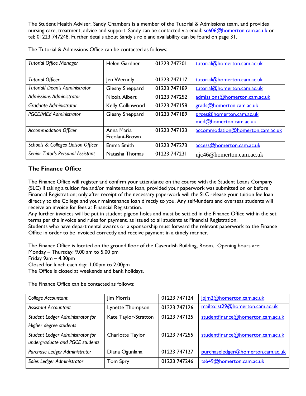The Student Health Adviser, Sandy Chambers is a member of the Tutorial & Admissions team, and provides nursing care, treatment, advice and support. Sandy can be contacted via email: [sc606@homerton.cam.ac.uk](mailto:sc606@homerton.cam.ac.uk) or tel: 01223 747248. Further details about Sandy's role and availability can be found on page 31.

| <b>Tutorial Office Manager</b>        | <b>Helen Gardner</b> | 01223 747201 | tutorial@homerton.cam.ac.uk      |
|---------------------------------------|----------------------|--------------|----------------------------------|
|                                       |                      |              |                                  |
| <b>Tutorial Officer</b>               | Jen Werndly          | 01223 747117 | tutorial@homerton.cam.ac.uk      |
| <b>Tutorial/ Dean's Administrator</b> | Glesny Sheppard      | 01223 747189 | tutorial@homerton.cam.ac.uk      |
| <b>Admissions Administrator</b>       | Nicola Albert        | 01223 747252 | admissions@homerton.cam.ac.uk    |
| Graduate Administrator                | Kelly Collinwood     | 01223 747158 | grads@homerton.cam.ac.uk         |
| <b>PGCE/MEd Administrator</b>         | Glesny Sheppard      | 01223 747189 | pgces@homerton.cam.ac.uk         |
|                                       |                      |              | med@homerton.cam.ac.uk           |
| <b>Accommodation Officer</b>          | Anna Maria           | 01223 747123 | accommodation@homerton.cam.ac.uk |
|                                       | Ercolani-Brown       |              |                                  |
| Schools & Colleges Liaison Officer    | Emma Smith           | 01223 747273 | access@homerton.cam.ac.uk        |
| Senior Tutor's Personal Assistant     | Natasha Thomas       | 01223 747231 | njc46@homerton.cam.ac.uk         |

The Tutorial & Admissions Office can be contacted as follows:

#### **The Finance Office**

The Finance Office will register and confirm your attendance on the course with the Student Loans Company (SLC) if taking a tuition fee and/or maintenance loan, provided your paperwork was submitted on or before Financial Registration; only after receipt of the necessary paperwork will the SLC release your tuition fee loan directly to the College and your maintenance loan directly to you. Any self-funders and overseas students will receive an invoice for fees at Financial Registration.

Any further invoices will be put in student pigeon holes and must be settled in the Finance Office within the set terms per the invoice and rules for payment, as issued to all students at Financial Registration.

Students who have departmental awards or a sponsorship must forward the relevant paperwork to the Finance Office in order to be invoiced correctly and receive payment in a timely manner.

The Finance Office is located on the ground floor of the Cavendish Building, Room. Opening hours are: Monday – Thursday: 9.00 am to 5.00 pm

Friday 9am – 4.30pm

Closed for lunch each day: 1.00pm to 2.00pm

The Office is closed at weekends and bank holidays.

The Finance Office can be contacted as follows:

| College Accountant               | Jim Morris           | 01223 747124  | jpjm2@homerton.cam.ac.uk          |
|----------------------------------|----------------------|---------------|-----------------------------------|
| <b>Assistant Accountant</b>      | Lynette Thompson     | 01223 747126  | mailto:lst29@homerton.cam.ac.uk   |
| Student Ledger Administrator for | Kate Taylor-Stratton | 01223 747 125 | studentfinance@homerton.cam.ac.uk |
| Higher degree students           |                      |               |                                   |
| Student Ledger Administrator for | Charlotte Taylor     | 01223 747255  | studentfinance@homerton.cam.ac.uk |
| undergraduate and PGCE students  |                      |               |                                   |
| Purchase Ledger Administrator    | Diana Ogunlana       | 01223 747127  | purchaseledger@homerton.cam.ac.uk |
| Sales Ledger Administrator       | <b>Tom Spry</b>      | 01223 747246  | ts649@homerton.cam.ac.uk          |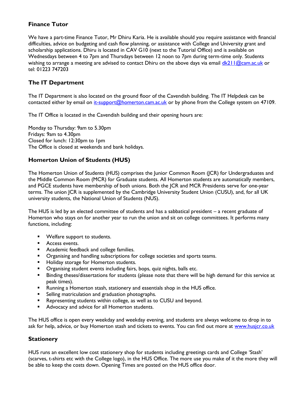#### **Finance Tutor**

We have a part-time Finance Tutor, Mr Dhiru Karia. He is available should you require assistance with financial difficulties, advice on budgeting and cash flow planning, or assistance with College and University grant and scholarship applications. Dhiru is located in CAV G10 (next to the Tutorial Office) and is available on Wednesdays between 4 to 7pm and Thursdays between 12 noon to 7pm during term-time only. Students wishing to arrange a meeting are advised to contact Dhiru on the above days via email  $dk^2H$  @cam.ac.uk or tel: 01223 747203

#### **The IT Department**

The IT Department is also located on the ground floor of the Cavendish building. The IT Helpdesk can be contacted either by email on [it-support@homerton.cam.ac.uk](mailto:it-support@homerton.cam.ac.uk) or by phone from the College system on 47109.

The IT Office is located in the Cavendish building and their opening hours are:

Monday to Thursday: 9am to 5.30pm Fridays: 9am to 4.30pm Closed for lunch: 12:30pm to 1pm The Office is closed at weekends and bank holidays.

#### **Homerton Union of Students (HUS)**

The Homerton Union of Students (HUS) comprises the Junior Common Room (JCR) for Undergraduates and the Middle Common Room (MCR) for Graduate students. All Homerton students are automatically members, and PGCE students have membership of both unions. Both the JCR and MCR Presidents serve for one-year terms. The union JCR is supplemented by the Cambridge University Student Union (CUSU), and, for all UK university students, the National Union of Students (NUS).

The HUS is led by an elected committee of students and has a sabbatical president – a recent graduate of Homerton who stays on for another year to run the union and sit on college committees. It performs many functions, including:

- **Welfare support to students.**
- **Access events.**
- **Academic feedback and college families.**
- **•** Organising and handling subscriptions for college societies and sports teams.
- **Holiday storage for Homerton students.**
- **•** Organising student events including fairs, bops, quiz nights, balls etc.
- **Binding theses/dissertations for students (please note that there will be high demand for this service at 4** peak times).
- **Running a Homerton stash, stationery and essentials shop in the HUS office.**
- **Selling matriculation and graduation photographs.**
- **Representing students within college, as well as to CUSU and beyond.**
- **Advocacy and advice for all Homerton students.**

The HUS office is open every weekday and weekday evening, and students are always welcome to drop in to ask for help, advice, or buy Homerton stash and tickets to events. You can find out more at [www.husjcr.co.uk](http://www.husjcr.co.uk/)

#### **Stationery**

HUS runs an excellent low cost stationery shop for students including greetings cards and College 'Stash' (scarves, t-shirts etc with the College logo), in the HUS Office. The more use you make of it the more they will be able to keep the costs down. Opening Times are posted on the HUS office door.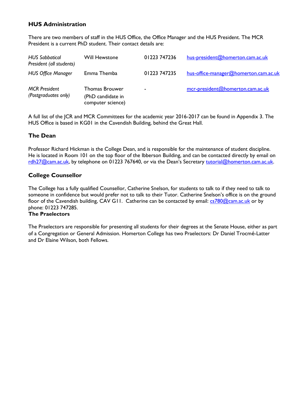#### **HUS Administration**

There are two members of staff in the HUS Office, the Office Manager and the HUS President. The MCR President is a current PhD student. Their contact details are:

| <b>HUS Sabbatical</b><br>President (all students) | <b>Will Hewstone</b>                                     | 01223 747236   | hus-president@homerton.cam.ac.uk      |
|---------------------------------------------------|----------------------------------------------------------|----------------|---------------------------------------|
| <b>HUS Office Manager</b>                         | Emma Themba                                              | 01223 747235   | hus-office-manager@homerton.cam.ac.uk |
| <b>MCR</b> President<br>(Postgraduates only)      | Thomas Brouwer<br>(PhD candidate in<br>computer science) | $\blacksquare$ | mcr-president@homerton.cam.ac.uk      |

A full list of the JCR and MCR Committees for the academic year 2016-2017 can be found in Appendix 3. The HUS Office is based in KG01 in the Cavendish Building, behind the Great Hall.

#### **The Dean**

Professor Richard Hickman is the College Dean, and is responsible for the maintenance of student discipline. He is located in Room 101 on the top floor of the Ibberson Building, and can be contacted directly by email on [rdh27@cam.ac.uk](mailto:rdh27@cam.ac.uk), by telephone on 01223 767640, or via the Dean's Secretary tutorial@homerton.cam.ac.uk.

#### **College Counsellor**

The College has a fully qualified Counsellor, Catherine Snelson, for students to talk to if they need to talk to someone in confidence but would prefer not to talk to their Tutor. Catherine Snelson's office is on the ground floor of the Cavendish building, CAV G11. Catherine can be contacted by email: [cs780@cam.ac.uk](mailto:cs780@cam.ac.uk) or by phone: 01223 747285.

#### **The Praelectors**

<span id="page-9-0"></span>The Praelectors are responsible for presenting all students for their degrees at the Senate House, either as part of a Congregation or General Admission. Homerton College has two Praelectors: Dr Daniel Trocmé-Latter and Dr Elaine Wilson, both Fellows.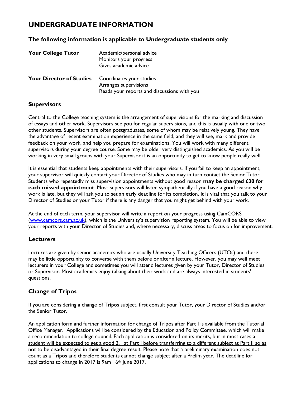# **UNDERGRADUATE INFORMATION**

#### **The following information is applicable to Undergraduate students only**

| <b>Your College Tutor</b>       | Academic/personal advice<br>Monitors your progress<br>Gives academic advice                      |
|---------------------------------|--------------------------------------------------------------------------------------------------|
| <b>Your Director of Studies</b> | Coordinates your studies<br>Arranges supervisions<br>Reads your reports and discussions with you |

#### **Supervisors**

Central to the College teaching system is the arrangement of supervisions for the marking and discussion of essays and other work. Supervisors see you for regular supervisions, and this is usually with one or two other students. Supervisors are often postgraduates, some of whom may be relatively young. They have the advantage of recent examination experience in the same field, and they will see, mark and provide feedback on your work, and help you prepare for examinations. You will work with many different supervisors during your degree course. Some may be older very distinguished academics. As you will be working in very small groups with your Supervisor it is an opportunity to get to know people really well.

It is essential that students keep appointments with their supervisors. If you fail to keep an appointment, your supervisor will quickly contact your Director of Studies who may in turn contact the Senior Tutor. Students who repeatedly miss supervision appointments without good reason **may be charged £30 for each missed appointment**. Most supervisors will listen sympathetically if you have a good reason why work is late, but they will ask you to set an early deadline for its completion. It is vital that you talk to your Director of Studies or your Tutor if there is any danger that you might get behind with your work.

At the end of each term, your supervisor will write a report on your progress using CamCORS [\(www.camcors.cam.ac.uk](http://www.camcors.cam.ac.uk/)), which is the University's supervision reporting system. You will be able to view your reports with your Director of Studies and, where necessary, discuss areas to focus on for improvement.

#### **Lecturers**

Lectures are given by senior academics who are usually University Teaching Officers (UTOs) and there may be little opportunity to converse with them before or after a lecture. However, you may well meet lecturers in your College and sometimes you will attend lectures given by your Tutor, Director of Studies or Supervisor. Most academics enjoy talking about their work and are always interested in students' questions.

#### **Change of Tripos**

If you are considering a change of Tripos subject, first consult your Tutor, your Director of Studies and/or the Senior Tutor.

An application form and further information for change of Tripos after Part I is available from the Tutorial Office Manager. Applications will be considered by the Education and Policy Committee, which will make a recommendation to college council. Each application is considered on its merits, but in most cases a student will be expected to get a good 2.1 at Part I before transferring to a different subject at Part II so as not to be disadvantaged in their final degree result. Please note that a preliminary examination does not count as a Tripos and therefore students cannot change subject after a Prelim year. The deadline for applications to change in 2017 is 9am 16<sup>th</sup> June 2017.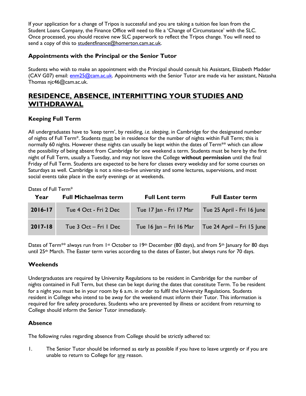If your application for a change of Tripos is successful and you are taking a tuition fee loan from the Student Loans Company, the Finance Office will need to file a 'Change of Circumstance' with the SLC. Once processed, you should receive new SLC paperwork to reflect the Tripos change. You will need to send a copy of this to [studentfinance@homerton.cam.ac.uk.](mailto:studentfinance@homerton.cam.ac.uk)

#### **Appointments with the Principal or the Senior Tutor**

Students who wish to make an appointment with the Principal should consult his Assistant, Elizabeth Madder (CAV G07) email: [enm25@cam.ac.uk.](mailto:enm25@cam.ac.uk) Appointments with the Senior Tutor are made via her assistant, Natasha Thomas njc46@cam.ac.uk.

# **RESIDENCE, ABSENCE, INTERMITTING YOUR STUDIES AND WITHDRAWAL**

#### **Keeping Full Term**

All undergraduates have to 'keep term', by residing, *i.e. sleeping*, in Cambridge for the designated number of nights of Full Term\*. Students must be in residence for the number of nights within Full Term; this is normally 60 nights. However these nights can usually be kept within the dates of Term<sup>\*\*</sup> which can allow the possibility of being absent from Cambridge for one weekend a term. Students must be here by the first night of Full Term, usually a Tuesday, and may not leave the College **without permission** until the final Friday of Full Term. Students are expected to be here for classes every weekday and for some courses on Saturdays as well. Cambridge is not a nine-to-five university and some lectures, supervisions, and most social events take place in the early evenings or at weekends.

Dates of Full Term\*

| Year        | <b>Full Michaelmas term</b> | <b>Full Lent term</b>   | <b>Full Easter term</b>    |
|-------------|-----------------------------|-------------------------|----------------------------|
| $2016 - 17$ | Tue 4 Oct - Fri 2 Dec       | Tue 17 Jan - Fri 17 Mar | Tue 25 April - Fri 16 June |
| $2017 - 18$ | Tue $3$ Oct – Fri 1 Dec     | Tue 16 Jan - Fri 16 Mar | Tue 24 April - Fri 15 June |

Dates of Term<sup>\*\*</sup> always run from 1<sup>st</sup> October to 19<sup>th</sup> December (80 days), and from 5<sup>th</sup> January for 80 days until 25<sup>th</sup> March. The Easter term varies according to the dates of Easter, but always runs for 70 days.

#### **Weekends**

Undergraduates are required by University Regulations to be resident in Cambridge for the number of nights contained in Full Term, but these can be kept during the dates that constitute Term. To be resident for a night you must be in your room by 6 a.m. in order to fulfil the University Regulations. Students resident in College who intend to be away for the weekend must inform their Tutor. This information is required for fire safety procedures. Students who are prevented by illness or accident from returning to College should inform the Senior Tutor immediately.

#### **Absence**

The following rules regarding absence from College should be strictly adhered to:

1. The Senior Tutor should be informed as early as possible if you have to leave urgently or if you are unable to return to College for any reason.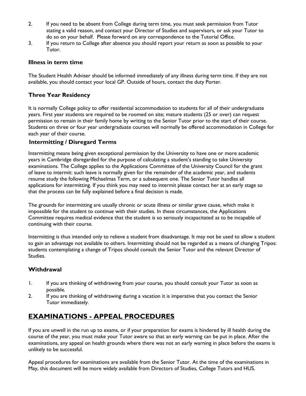- 2. If you need to be absent from College during term time, you must seek permission from Tutor stating a valid reason, and contact your Director of Studies and supervisors, or ask your Tutor to do so on your behalf. Please forward on any correspondence to the Tutorial Office.
- 3. If you return to College after absence you should report your return as soon as possible to your Tutor.

#### **Illness in term time**

The Student Health Adviser should be informed immediately of any illness during term time. If they are not available, you should contact your local GP. Outside of hours, contact the duty Porter.

#### **Three Year Residency**

It is normally College policy to offer residential accommodation to students for all of their undergraduate years. First year students are required to be roomed on site; mature students (25 or over) can request permission to remain in their family home by writing to the Senior Tutor prior to the start of their course. Students on three or four year undergraduate courses will normally be offered accommodation in College for each year of their course.

#### **Intermitting / Disregard Terms**

Intermitting means being given exceptional permission by the University to have one or more academic years in Cambridge disregarded for the purpose of calculating a student's standing to take University examinations. The College applies to the Applications Committee of the University Council for the grant of leave to intermit: such leave is normally given for the remainder of the academic year, and students resume study the following Michaelmas Term, or a subsequent one. The Senior Tutor handles all applications for intermitting. If you think you may need to intermit please contact her at an early stage so that the process can be fully explained before a final decision is made.

The grounds for intermitting are usually chronic or acute illness or similar grave cause, which make it impossible for the student to continue with their studies. In these circumstances, the Applications Committee requires medical evidence that the student is so seriously incapacitated as to be incapable of continuing with their course.

Intermitting is thus intended only to relieve a student from disadvantage. It may not be used to allow a student to gain an advantage not available to others. Intermitting should not be regarded as a means of changing Tripos: students contemplating a change of Tripos should consult the Senior Tutor and the relevant Director of Studies.

#### **Withdrawal**

- 1. If you are thinking of withdrawing from your course, you should consult your Tutor as soon as possible.
- 2. If you are thinking of withdrawing during a vacation it is imperative that you contact the Senior Tutor immediately.

# **EXAMINATIONS - APPEAL PROCEDURES**

If you are unwell in the run up to exams, or if your preparation for exams is hindered by ill health during the course of the year, you must make your Tutor aware so that an early warning can be put in place. After the examinations, any appeal on health grounds where there was not an early warning in place before the exams is unlikely to be successful.

Appeal procedures for examinations are available from the Senior Tutor. At the time of the examinations in May, this document will be more widely available from Directors of Studies, College Tutors and HUS.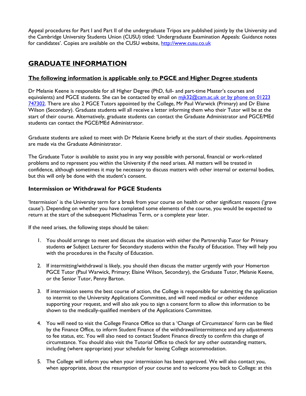Appeal procedures for Part I and Part II of the undergraduate Tripos are published jointly by the University and the Cambridge University Students Union (CUSU) titled: 'Undergraduate Examination Appeals: Guidance notes for candidates'. Copies are available on the CUSU website, [http://www.cusu.co.uk](http://www.cusu.co.uk/)

# <span id="page-13-0"></span>**GRADUATE INFORMATION**

#### **The following information is applicable only to PGCE and Higher Degree students**

Dr Melanie Keene is responsible for all Higher Degree (PhD, full- and part-time Master's courses and equivalents) and PGCE students. She can be contacted by email on mik32@cam.ac.uk or by phone on 01223 747302. There are also 2 PGCE Tutors appointed by the College, Mr Paul Warwick (Primary) and Dr Elaine Wilson (Secondary). Graduate students will all receive a letter informing them who their Tutor will be at the start of their course. Alternatively, graduate students can contact the Graduate Administrator and PGCE/MEd students can contact the PGCE/MEd Administrator.

Graduate students are asked to meet with Dr Melanie Keene briefly at the start of their studies. Appointments are made via the Graduate Administrator.

The Graduate Tutor is available to assist you in any way possible with personal, financial or work-related problems and to represent you within the University if the need arises. All matters will be treated in confidence, although sometimes it may be necessary to discuss matters with other internal or external bodies, but this will only be done with the student's consent.

#### **Intermission or Withdrawal for PGCE Students**

'Intermission' is the University term for a break from your course on health or other significant reasons ('grave cause'). Depending on whether you have completed some elements of the course, you would be expected to return at the start of the subsequent Michaelmas Term, or a complete year later.

If the need arises, the following steps should be taken:

- 1. You should arrange to meet and discuss the situation with either the Partnership Tutor for Primary students *or* Subject Lecturer for Secondary students within the Faculty of Education. They will help you with the procedures in the Faculty of Education.
- 2. If intermitting/withdrawal is likely, you should then discuss the matter urgently with your Homerton PGCE Tutor (Paul Warwick, Primary; Elaine Wilson, Secondary), the Graduate Tutor, Melanie Keene, or the Senior Tutor, Penny Barton.
- 3. If intermission seems the best course of action, the College is responsible for submitting the application to intermit to the University Applications Committee, and will need medical or other evidence supporting your request, and will also ask you to sign a consent form to allow this information to be shown to the medically-qualified members of the Applications Committee.
- 4. You will need to visit the College Finance Office so that a 'Change of Circumstance' form can be filed by the Finance Office, to inform Student Finance of the withdrawal/intermittence and any adjustments to fee status, etc. You will also need to contact Student Finance directly to confirm this change of circumstance. You should also visit the Tutorial Office to check for any other outstanding matters, including (where appropriate) your schedule for leaving College accommodation.
- 5. The College will inform you when your intermission has been approved. We will also contact you, when appropriate, about the resumption of your course and to welcome you back to College: at this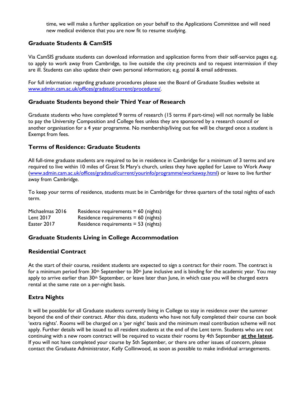time, we will make a further application on your behalf to the Applications Committee and will need new medical evidence that you are now fit to resume studying.

#### **Graduate Students & CamSIS**

Via CamSIS graduate students can download information and application forms from their self-service pages e.g. to apply to work away from Cambridge, to live outside the city precincts and to request intermission if they are ill. Students can also update their own personal information; e.g. postal & email addresses.

For full information regarding graduate procedures please see the Board of Graduate Studies website at [www.admin.cam.ac.uk/offices/gradstud/current/procedures/.](http://www.admin.cam.ac.uk/offices/gradstud/current/procedures/) 

#### **Graduate Students beyond their Third Year of Research**

Graduate students who have completed 9 terms of research (15 terms if part-time) will not normally be liable to pay the University Composition and College fees unless they are sponsored by a research council or another organisation for a 4 year programme. No membership/living out fee will be charged once a student is Exempt from fees.

#### **Terms of Residence: Graduate Students**

All full-time graduate students are required to be in residence in Cambridge for a minimum of 3 terms and are required to live within 10 miles of Great St Mary's church, unless they have applied for Leave to Work Away [\(www.admin.cam.ac.uk/offices/gradstud/current/yourinfo/programme/workaway.html\)](http://www.admin.cam.ac.uk/offices/gradstud/current/yourinfo/programme/workaway.html) or leave to live further away from Cambridge.

To keep your terms of residence, students must be in Cambridge for three quarters of the total nights of each term.

| Michaelmas 2016 | Residence requirements $= 60$ (nights) |
|-----------------|----------------------------------------|
| Lent 2017       | Residence requirements $= 60$ (nights) |
| Easter 2017     | Residence requirements $=$ 53 (nights) |

#### **Graduate Students Living in College Accommodation**

#### **Residential Contract**

At the start of their course, resident students are expected to sign a contract for their room. The contract is for a minimum period from  $30<sup>th</sup>$  September to  $30<sup>th</sup>$  June inclusive and is binding for the academic year. You may apply to arrive earlier than 30<sup>th</sup> September, or leave later than June, in which case you will be charged extra rental at the same rate on a per-night basis.

#### **Extra Nights**

It will be possible for all Graduate students currently living in College to stay in residence over the summer beyond the end of their contract. After this date, students who have not fully completed their course can book 'extra nights'. Rooms will be charged on a 'per night' basis and the minimum meal contribution scheme will not apply. Further details will be issued to all resident students at the end of the Lent term. Students who are not continuing with a new room contract will be required to vacate their rooms by 4th September **at the latest.** If you will not have completed your course by 5th September, or there are other issues of concern, please contact the Graduate Administrator, Kelly Collinwood, as soon as possible to make individual arrangements.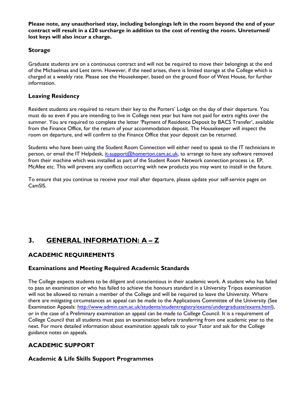**Please note, any unauthorised stay, including belongings left in the room beyond the end of your contract will result in a £20 surcharge in addition to the cost of renting the room. Unreturned/ lost keys will also incur a charge.**

#### **Storage**

Graduate students are on a continuous contract and will not be required to move their belongings at the end of the Michaelmas and Lent term. However, if the need arises, there is limited storage at the College which is charged at a weekly rate. Please see the Housekeeper, based on the ground floor of West House, for further information.

#### **Leaving Residency**

Resident students are required to return their key to the Porters' Lodge on the day of their departure. You must do so even if you are intending to live in College next year but have not paid for extra nights over the summer. You are required to complete the letter 'Payment of Residence Deposit by BACS Transfer', available from the Finance Office, for the return of your accommodation deposit. The Housekeeper will inspect the room on departure, and will confirm to the Finance Office that your deposit can be returned.

Students who have been using the Student Room Connection will either need to speak to the IT technicians in person, or email the IT Helpdesk, *it-support@homerton.cam.ac.uk*, to arrange to have any software removed from their machine which was installed as part of the Student Room Network connection process i.e. EP, McAfee etc. This will prevent any conflicts occurring with new products you may want to install in the future.

To ensure that you continue to receive your mail after departure, please update your self-service pages on CamSIS.

# <span id="page-15-0"></span>**3. GENERAL INFORMATION: A – Z**

#### **ACADEMIC REQUIREMENTS**

#### **Examinations and Meeting Required Academic Standards**

The College expects students to be diligent and conscientious in their academic work. A student who has failed to pass an examination or who has failed to achieve the honours standard in a University Tripos examination will not be allowed to remain a member of the College and will be required to leave the University. Where there are mitigating circumstances an appeal can be made to the Applications Committee of the University (See Examination Appeals: [http://www.admin.cam.ac.uk/students/studentregistry/exams/undergraduate/exams.html\)](http://www.admin.cam.ac.uk/students/studentregistry/exams/undergraduate/exams.html), or in the case of a Preliminary examination an appeal can be made to College Council. It is a requirement of College Council that all students must pass an examination before transferring from one academic year to the next. For more detailed information about examination appeals talk to your Tutor and ask for the College guidance notes on appeals.

#### **ACADEMIC SUPPORT**

#### **Academic & Life Skills Support Programmes**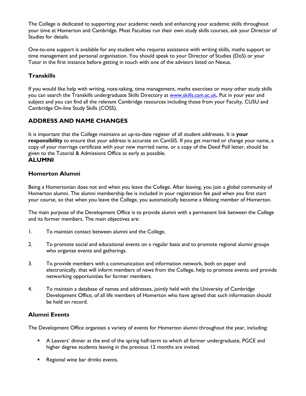The College is dedicated to supporting your academic needs and enhancing your academic skills throughout your time at Homerton and Cambridge. Most Faculties run their own study skills courses, ask your Director of Studies for details.

One-to-one support is available for any student who requires assistance with writing skills, maths support or time management and personal organisation. You should speak to your Director of Studies (DoS) or your Tutor in the first instance before getting in touch with one of the advisors listed on Nexus.

#### **Transkills**

If you would like help with writing, note-taking, time management, maths exercises or many other study skills you can search the Transkills undergraduate Skills Directory at [www.skills.cam.ac.uk](http://www.skills.cam.ac.uk/)**.** Put in your year and subject and you can find all the relevant Cambridge resources including those from your Faculty, CUSU and Cambridge On-line Study Skills (COSS).

# **ADDRESS AND NAME CHANGES**

It is important that the College maintains an up-to-date register of all student addresses. It is **your responsibility** to ensure that your address is accurate on CamSIS. If you get married or change your name, a copy of your marriage certificate with your new married name, or a copy of the Deed Poll letter, should be given to the Tutorial & Admissions Office as early as possible. **ALUMNI**

#### **Homerton Alumni**

Being a Homertonian does not end when you leave the College. After leaving, you join a global community of Homerton alumni. The alumni membership fee is included in your registration fee paid when you first start your course, so that when you leave the College, you automatically become a lifelong member of Homerton.

The main purpose of the Development Office is to provide alumni with a permanent link between the College and its former members. The main objectives are:

- 1. To maintain contact between alumni and the College.
- 2. To promote social and educational events on a regular basis and to promote regional alumni groups who organise events and gatherings.
- 3. To provide members with a communication and information network, both on paper and electronically, that will inform members of news from the College, help to promote events and provide networking opportunities for former members.
- 4. To maintain a database of names and addresses, jointly held with the University of Cambridge Development Office, of all life members of Homerton who have agreed that such information should be held on record.

#### **Alumni Events**

The Development Office organises a variety of events for Homerton alumni throughout the year, including:

- A Leavers' dinner at the end of the spring half-term to which all former undergraduate, PGCE and higher degree students leaving in the previous 12 months are invited.
- **Regional wine bar drinks events.**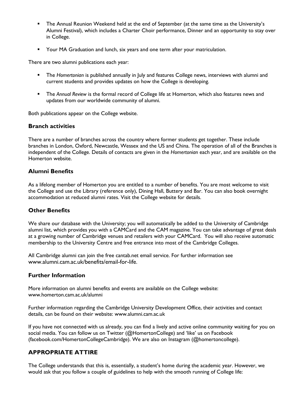- The Annual Reunion Weekend held at the end of September (at the same time as the University's Alumni Festival), which includes a Charter Choir performance, Dinner and an opportunity to stay over in College.
- **THE ST AN AUTE VALUATION** YOUR MAGRATION. To Your Matriculation.

There are two alumni publications each year:

- The *Homertonian* is published annually in July and features College news, interviews with alumni and current students and provides updates on how the College is developing.
- The *Annual Review* is the formal record of College life at Homerton, which also features news and updates from our worldwide community of alumni.

Both publications appear on the College website.

#### **Branch activities**

There are a number of branches across the country where former students get together. These include branches in London, Oxford, Newcastle, Wessex and the US and China. The operation of all of the Branches is independent of the College. Details of contacts are given in the *Homertonian* each year, and are available on the Homerton website.

#### **Alumni Benefits**

As a lifelong member of Homerton you are entitled to a number of benefits. You are most welcome to visit the College and use the Library (reference only), Dining Hall, Buttery and Bar. You can also book overnight accommodation at reduced alumni rates. Visit the College website for details.

#### **Other Benefits**

We share our database with the University; you will automatically be added to the University of Cambridge alumni list, which provides you with a CAMCard and the CAM magazine. You can take advantage of great deals at a growing number of Cambridge venues and retailers with your CAMCard. You will also receive automatic membership to the University Centre and free entrance into most of the Cambridge Colleges.

All Cambridge alumni can join the free cantab.net email service. For further information see www.alumni.cam.ac.uk/benefits/email-for-life.

#### **Further Information**

More information on alumni benefits and events are available on the College website: [www.homerton.cam.ac.uk/alumni](http://www.homerton.cam.ac.uk/alumni)

Further information regarding the Cambridge University Development Office, their activities and contact details, can be found on their website: [www.alumni.cam.ac.uk](http://www.alumni.cam.ac.uk/)

If you have not connected with us already, you can find a lively and active online community waiting for you on social media. You can follow us on Twitter (@HomertonCollege) and 'like' us on Facebook (facebook.com/HomertonCollegeCambridge). We are also on Instagram (@homertoncollege).

#### **APPROPRIATE ATTIRE**

The College understands that this is, essentially, a student's home during the academic year. However, we would ask that you follow a couple of guidelines to help with the smooth running of College life: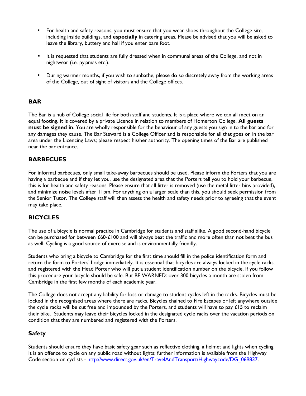- **For health and safety reasons, you must ensure that you wear shoes throughout the College site,** including inside buildings, and **especially** in catering areas. Please be advised that you will be asked to leave the library, buttery and hall if you enter bare foot.
- It is requested that students are fully dressed when in communal areas of the College, and not in nightwear (i.e. pyjamas etc.).
- During warmer months, if you wish to sunbathe, please do so discretely away from the working areas of the College, out of sight of visitors and the College offices.

#### **BAR**

The Bar is a hub of College social life for both staff and students. It is a place where we can all meet on an equal footing. It is covered by a private Licence in relation to members of Homerton College. **All guests must be signed in**. You are wholly responsible for the behaviour of any guests you sign in to the bar and for any damages they cause. The Bar Steward is a College Officer and is responsible for all that goes on in the bar area under the Licencing Laws; please respect his/her authority. The opening times of the Bar are published near the bar entrance.

#### **BARBECUES**

For informal barbecues, only small take-away barbecues should be used. Please inform the Porters that you are having a barbecue and if they let you, use the designated area that the Porters tell you to hold your barbecue, this is for health and safety reasons. Please ensure that all litter is removed (use the metal litter bins provided), and minimize noise levels after 11pm. For anything on a larger scale than this, you should seek permission from the Senior Tutor. The College staff will then assess the health and safety needs prior to agreeing that the event may take place.

#### **BICYCLES**

The use of a bicycle is normal practice in Cambridge for students and staff alike. A good second-hand bicycle can be purchased for between £60-£100 and will always beat the traffic and more often than not beat the bus as well. Cycling is a good source of exercise and is environmentally friendly.

Students who bring a bicycle to Cambridge for the first time should fill in the police identification form and return the form to Porters' Lodge immediately. It is essential that bicycles are always locked in the cycle racks, and registered with the Head Porter who will put a student identification number on the bicycle. If you follow this procedure your bicycle should be safe. But BE WARNED: over 300 bicycles a month are stolen from Cambridge in the first few months of each academic year.

The College does not accept any liability for loss or damage to student cycles left in the racks. Bicycles must be locked in the recognised areas where there are racks. Bicycles chained to Fire Escapes or left anywhere outside the cycle racks will be cut free and impounded by the Porters, and students will have to pay  $£15$  to reclaim their bike. Students may leave their bicycles locked in the designated cycle racks over the vacation periods on condition that they are numbered and registered with the Porters.

#### **Safety**

Students should ensure they have basic safety gear such as reflective clothing, a helmet and lights when cycling. It is an offence to cycle on any public road without lights; further information is available from the Highway Code section on cyclists - [http://www.direct.gov.uk/en/TravelAndTransport/Highwaycode/DG\\_069837.](http://www.direct.gov.uk/en/TravelAndTransport/Highwaycode/DG_069837)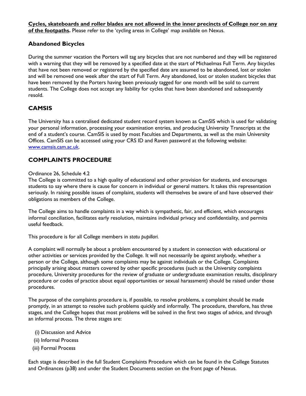**Cycles, skateboards and roller blades are not allowed in the inner precincts of College nor on any of the footpaths.** Please refer to the 'cycling areas in College' map available on Nexus.

#### **Abandoned Bicycles**

During the summer vacation the Porters will tag any bicycles that are not numbered and they will be registered with a warning that they will be removed by a specified date at the start of Michaelmas Full Term. Any bicycles that have not been removed or registered by the specified date are assumed to be abandoned, lost or stolen and will be removed one week after the start of Full Term. Any abandoned, lost or stolen student bicycles that have been removed by the Porters having been previously tagged for one month will be sold to current students. The College does not accept any liability for cycles that have been abandoned and subsequently resold.

#### **CAMSIS**

The University has a centralised dedicated student record system known as CamSIS which is used for validating your personal information, processing your examination entries, and producing University Transcripts at the end of a student's course. CamSIS is used by most Faculties and Departments, as well as the main University Offices. CamSIS can be accessed using your CRS ID and Raven password at the following website: [www.camsis.cam.ac.uk.](http://www.camsis.cam.ac.uk/)

#### **COMPLAINTS PROCEDURE**

#### Ordinance 26, Schedule 4.2

The College is committed to a high quality of educational and other provision for students, and encourages students to say where there is cause for concern in individual or general matters. It takes this representation seriously. In raising possible issues of complaint, students will themselves be aware of and have observed their obligations as members of the College.

The College aims to handle complaints in a way which is sympathetic, fair, and efficient, which encourages informal conciliation, facilitates early resolution, maintains individual privacy and confidentiality, and permits useful feedback.

This procedure is for all College members in *statu pupillari.*

A complaint will normally be about a problem encountered by a student in connection with educational or other activities or services provided by the College. It will not necessarily be *against* anybody, whether a person or the College, although some complaints may be against individuals or the College. Complaints principally arising about matters covered by other specific procedures (such as the University complaints procedure, University procedures for the review of graduate or undergraduate examination results, disciplinary procedure or codes of practice about equal opportunities or sexual harassment) should be raised under those procedures.

The purpose of the complaints procedure is, if possible, to resolve problems, a complaint should be made promptly, in an attempt to resolve such problems quickly and informally. The procedure, therefore, has three stages, and the College hopes that most problems will be solved in the first two stages of advice, and through an informal process. The three stages are:

- (i) Discussion and Advice
- (ii) Informal Process
- (iii) Formal Process

Each stage is described in the full Student Complaints Procedure which can be found in the College Statutes and Ordinances (p38) and under the Student Documents section on the front page of Nexus.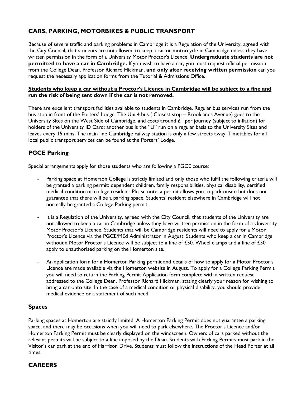# **CARS, PARKING, MOTORBIKES & PUBLIC TRANSPORT**

Because of severe traffic and parking problems in Cambridge it is a Regulation of the University, agreed with the City Council, that students are not allowed to keep a car or motorcycle in Cambridge unless they have written permission in the form of a University Motor Proctor's Licence. **Undergraduate students are not permitted to have a car in Cambridge.** If you wish to have a car, you must request official permission from the College Dean, Professor Richard Hickman, **and only after receiving written permission** can you request the necessary application forms from the Tutorial & Admissions Office.

#### **Students who keep a car without a Proctor's Licence in Cambridge will be subject to a fine and run the risk of being sent down if the car is not removed.**

There are excellent transport facilities available to students in Cambridge. Regular bus services run from the bus stop in front of the Porters' Lodge. The Uni 4 bus ( Closest stop – Brooklands Avenue) goes to the University Sites on the West Side of Cambridge, and costs around £1 per journey (subject to inflation) for holders of the University ID Card; another bus is the "U" run on a regular basis to the University Sites and leaves every 15 mins. The main line Cambridge railway station is only a few streets away. Timetables for all local public transport services can be found at the Porters' Lodge.

# **PGCE Parking**

Special arrangements apply for those students who are following a PGCE course:

- Parking space at Homerton College is strictly limited and only those who fulfil the following criteria will be granted a parking permit: dependent children, family responsibilities, physical disability, certified medical condition or college resident. Please note, a permit allows you to park onsite but does not guarantee that there will be a parking space. Students' resident elsewhere in Cambridge will not normally be granted a College Parking permit.
- It is a Regulation of the University, agreed with the City Council, that students of the University are not allowed to keep a car in Cambridge unless they have written permission in the form of a University Motor Proctor's Licence. Students that will be Cambridge residents will need to apply for a Motor Proctor's Licence via the PGCE/MEd Administrator in August. Students who keep a car in Cambridge without a Motor Proctor's Licence will be subject to a fine of £50. Wheel clamps and a fine of £50 apply to unauthorised parking on the Homerton site.
- An application form for a Homerton Parking permit and details of how to apply for a Motor Proctor's Licence are made available via the Homerton website in August. To apply for a College Parking Permit you will need to return the Parking Permit Application form complete with a written request addressed to the College Dean, Professor Richard Hickman, stating clearly your reason for wishing to bring a car onto site. In the case of a medical condition or physical disability, you should provide medical evidence or a statement of such need.

#### **Spaces**

Parking spaces at Homerton are strictly limited. A Homerton Parking Permit does not guarantee a parking space, and there may be occasions when you will need to park elsewhere. The Proctor's Licence and/or Homerton Parking Permit must be clearly displayed on the windscreen. Owners of cars parked without the relevant permits will be subject to a fine imposed by the Dean. Students with Parking Permits must park in the Visitor's car park at the end of Harrison Drive. Students must follow the instructions of the Head Porter at all times.

#### **CAREERS**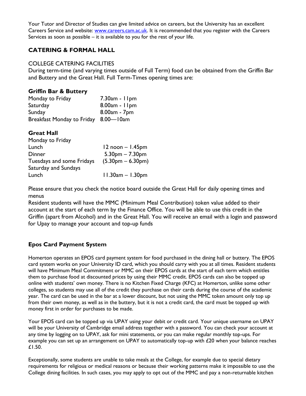Your Tutor and Director of Studies can give limited advice on careers, but the University has an excellent Careers Service and website: [www.careers.cam.ac.uk.](http://www.careers.cam.ac.uk/) It is recommended that you register with the Careers Services as soon as possible – it is available to you for the rest of your life.

#### **CATERING & FORMAL HALL**

#### COLLEGE CATERING FACILITIES

During term-time (and varying times outside of Full Term) food can be obtained from the Griffin Bar and Buttery and the Great Hall. Full Term-Times opening times are:

#### **Griffin Bar & Buttery**

| Monday to Friday                     | $7.30am - 11pm$ |
|--------------------------------------|-----------------|
| Saturday                             | $8.00am - 11pm$ |
| Sunday                               | 8.00am - 7pm    |
| Breakfast Monday to Friday 8.00-l0am |                 |

#### **Great Hall**

| Monday to Friday            |                      |
|-----------------------------|----------------------|
| Lunch                       | $12$ noon $-1.45$ pm |
| <b>Dinner</b>               | $5.30pm - 7.30pm$    |
| Tuesdays and some Fridays   | $(5.30pm - 6.30pm)$  |
| <b>Saturday and Sundays</b> |                      |
| Lunch                       | $11.30am - 1.30pm$   |
|                             |                      |

Please ensure that you check the notice board outside the Great Hall for daily opening times and menus

Resident students will have the MMC (Minimum Meal Contribution) token value added to their account at the start of each term by the Finance Office. You will be able to use this credit in the Griffin (apart from Alcohol) and in the Great Hall. You will receive an email with a login and password for Upay to manage your account and top-up funds

#### **Epos Card Payment System**

Homerton operates an EPOS card payment system for food purchased in the dining hall or buttery. The EPOS card system works on your University ID card, which you should carry with you at all times. Resident students will have Minimum Meal Commitment or MMC on their EPOS cards at the start of each term which entitles them to purchase food at discounted prices by using their MMC credit. EPOS cards can also be topped up online with students' own money. There is no Kitchen Fixed Charge (KFC) at Homerton, unlike some other colleges, so students may use all of the credit they purchase on their cards during the course of the academic year. The card can be used in the bar at a lower discount, but not using the MMC token amount only top up from their own money, as well as in the buttery, but it is not a credit card, the card must be topped up with money first in order for purchases to be made.

Your EPOS card can be topped up via UPAY using your debit or credit card. Your unique username on UPAY will be your University of Cambridge email address together with a password. You can check your account at any time by logging on to UPAY, ask for mini statements, or you can make regular monthly top-ups. For example you can set up an arrangement on UPAY to automatically top-up with £20 when your balance reaches £1.50.

Exceptionally, some students are unable to take meals at the College, for example due to special dietary requirements for religious or medical reasons or because their working patterns make it impossible to use the College dining facilities. In such cases, you may apply to opt out of the MMC and pay a non-returnable kitchen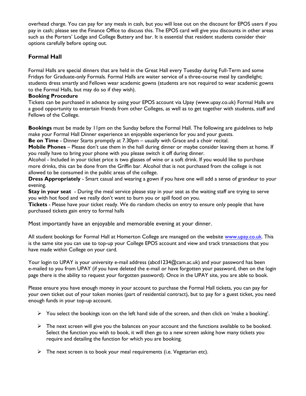overhead charge. You can pay for any meals in cash, but you will lose out on the discount for EPOS users if you pay in cash; please see the Finance Office to discuss this. The EPOS card will give you discounts in other areas such as the Porters' Lodge and College Buttery and bar. It is essential that resident students consider their options carefully before opting out.

#### **Formal Hall**

Formal Halls are special dinners that are held in the Great Hall every Tuesday during Full-Term and some Fridays for Graduate-only Formals. Formal Halls are waiter service of a three-course meal by candlelight; students dress smartly and Fellows wear academic gowns (students are not required to wear academic gowns to the Formal Halls, but may do so if they wish).

#### **Booking Procedure**

Tickets can be purchased in advance by using your EPOS account via Upay (www.upay.co.uk) Formal Halls are a good opportunity to entertain friends from other Colleges, as well as to get together with students, staff and Fellows of the College.

**Bookings** must be made by 11pm on the Sunday before the Formal Hall. The following are guidelines to help make your Formal Hall Dinner experience an enjoyable experience for you and your guests.

**Be on Time** - Dinner Starts promptly at 7.30pm – usually with Grace and a choir recital.

**Mobile Phones** – Please don't use them in the hall during dinner or maybe consider leaving them at home. If you really have to bring your phone with you please switch it off during dinner.

Alcohol - Included in your ticket price is two glasses of wine or a soft drink. If you would like to purchase more drinks, this can be done from the Griffin bar. Alcohol that is not purchased from the college is not allowed to be consumed in the public areas of the college.

**Dress Appropriately** - Smart casual and wearing a gown if you have one will add a sense of grandeur to your evening.

**Stay in your seat** - During the meal service please stay in your seat as the waiting staff are trying to serve you with hot food and we really don't want to burn you or spill food on you.

**Tickets** - Please have your ticket ready. We do random checks on entry to ensure only people that have purchased tickets gain entry to formal halls

Most importantly have an enjoyable and memorable evening at your dinner.

All student bookings for Formal Hall at Homerton College are managed on the website [www.upay.co.uk.](http://www.upay.co.uk/) This is the same site you can use to top-up your College EPOS account and view and track transactions that you have made within College on your card.

Your login to UPAY is your university e-mail address (abcd1234@cam.ac.uk) and your password has been e-mailed to you from UPAY (if you have deleted the e-mail or have forgotten your password, then on the login page there is the ability to request your forgotten password). Once in the UPAY site, you are able to book.

Please ensure you have enough money in your account to purchase the Formal Hall tickets, you can pay for your own ticket out of your token monies (part of residential contract), but to pay for a guest ticket, you need enough funds in your top-up account.

- $\triangleright$  You select the bookings icon on the left hand side of the screen, and then click on 'make a booking'.
- $\triangleright$  The next screen will give you the balances on your account and the functions available to be booked. Select the function you wish to book, it will then go to a new screen asking how many tickets you require and detailing the function for which you are booking.
- $\triangleright$  The next screen is to book your meal requirements (i.e. Vegetarian etc).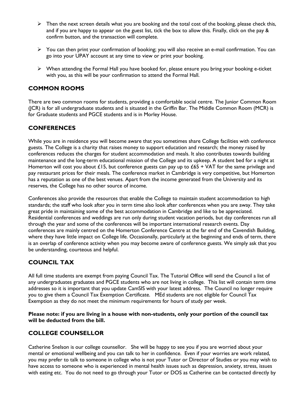- $\triangleright$  Then the next screen details what you are booking and the total cost of the booking, please check this, and if you are happy to appear on the guest list, tick the box to allow this. Finally, click on the pay & confirm button, and the transaction will complete.
- You can then print your confirmation of booking; you will also receive an e-mail confirmation. You can go into your UPAY account at any time to view or print your booking.
- $\triangleright$  When attending the Formal Hall you have booked for, please ensure you bring your booking e-ticket with you, as this will be your confirmation to attend the Formal Hall.

#### **COMMON ROOMS**

There are two common rooms for students, providing a comfortable social centre. The Junior Common Room (JCR) is for all undergraduate students and is situated in the Griffin Bar. The Middle Common Room (MCR) is for Graduate students and PGCE students and is in Morley House.

#### **CONFERENCES**

While you are in residence you will become aware that you sometimes share College facilities with conference guests. The College is a charity that raises money to support education and research; the money raised by conferences reduces the charges for student accommodation and meals. It also contributes towards building maintenance and the long-term educational mission of the College and its upkeep. A student bed for a night at Homerton will cost you about £15, but conference guests can pay up to £65 + VAT for the same privilege and pay restaurant prices for their meals. The conference market in Cambridge is very competitive, but Homerton has a reputation as one of the best venues. Apart from the income generated from the University and its reserves, the College has no other source of income.

Conferences also provide the resources that enable the College to maintain student accommodation to high standards; the staff who look after you in term time also look after conferences when you are away. They take great pride in maintaining some of the best accommodation in Cambridge and like to be appreciated. Residential conferences and weddings are run only during student vacation periods, but day conferences run all through the year and some of the conferences will be important international research events. Day conferences are mainly centred on the Homerton Conference Centre at the far end of the Cavendish Building, where they have little impact on College life. Occasionally, particularly at the beginning and ends of term, there is an overlap of conference activity when you may become aware of conference guests. We simply ask that you be understanding, courteous and helpful.

#### **COUNCIL TAX**

All full time students are exempt from paying Council Tax. The Tutorial Office will send the Council a list of any undergraduates graduates and PGCE students who are not living in college. This list will contain term time addresses so it is important that you update CamSIS with your latest address. The Council no longer require you to give them a Council Tax Exemption Certificate. MEd students are not eligible for Council Tax Exemption as they do not meet the minimum requirements for hours of study per week.

**Please note: if you are living in a house with non-students, only your portion of the council tax will be deducted from the bill.** 

#### **COLLEGE COUNSELLOR**

Catherine Snelson is our college counsellor. She will be happy to see you if you are worried about your mental or emotional wellbeing and you can talk to her in confidence. Even if your worries are work related, you may prefer to talk to someone in college who is not your Tutor or Director of Studies or you may wish to have access to someone who is experienced in mental health issues such as depression, anxiety, stress, issues with eating etc. You do not need to go through your Tutor or DOS as Catherine can be contacted directly by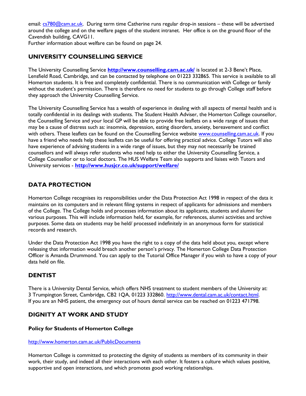email: [cs780@cam.ac.uk.](mailto:cs780@cam.ac.uk) During term time Catherine runs regular drop-in sessions - these will be advertised around the college and on the welfare pages of the student intranet. Her office is on the ground floor of the Cavendish building, CAVG11.

Further information about welfare can be found on page 24.

#### **UNIVERSITY COUNSELLING SERVICE**

The University Counselling Service **<http://www.counselling.cam.ac.uk/>** is located at 2-3 Bene't Place, Lensfield Road, Cambridge, and can be contacted by telephone on 01223 332865. This service is available to all Homerton students. It is free and completely confidential. There is no communication with College or family without the student's permission. There is therefore no need for students to go through College staff before they approach the University Counselling Service.

The University Counselling Service has a wealth of experience in dealing with all aspects of mental health and is totally confidential in its dealings with students. The Student Health Adviser, the Homerton College counsellor, the Counselling Service and your local GP will be able to provide free leaflets on a wide range of issues that may be a cause of distress such as: insomnia, depression, eating disorders, anxiety, bereavement and conflict with others. These leaflets can be found on the Counselling Service website [www.counselling.cam.ac.uk.](http://www.counselling.cam.ac.uk/) If you have a friend who needs help these leaflets can be useful for offering practical advice. College Tutors will also have experience of advising students in a wide range of issues, but they may not necessarily be trained counsellors and will always refer students who need help to either the University Counselling Service, a College Counsellor or to local doctors. The HUS Welfare Team also supports and liaises with Tutors and University services - **<http://www.husjcr.co.uk/support/welfare/>**

#### **DATA PROTECTION**

Homerton College recognises its responsibilities under the Data Protection Act 1998 in respect of the data it maintains on its computers and in relevant filing systems in respect of applicants for admissions and members of the College. The College holds and processes information about its applicants, students and alumni for various purposes. This will include information held, for example, for references, alumni activities and archive purposes. Some data on students may be held/ processed indefinitely in an anonymous form for statistical records and research.

Under the Data Protection Act 1998 you have the right to a copy of the data held about you, except where releasing that information would breach another person's privacy. The Homerton College Data Protection Officer is Amanda Drummond. You can apply to the Tutorial Office Manager if you wish to have a copy of your data held on file.

#### **DENTIST**

There is a University Dental Service, which offers NHS treatment to student members of the University at: 3 Trumpington Street, Cambridge, CB2 1QA, 01223 332860. [http://www.dental.cam.ac.uk/contact.html.](http://www.dental.cam.ac.uk/contact.html)  If you are an NHS patient, the emergency out of hours dental service can be reached on 01223 471798.

#### **DIGNITY AT WORK AND STUDY**

#### **Policy for Students of Homerton College**

#### <http://www.homerton.cam.ac.uk/PublicDocuments>

Homerton College is committed to protecting the dignity of students as members of its community in their work, their study, and indeed all their interactions with each other. It fosters a culture which values positive, supportive and open interactions, and which promotes good working relationships.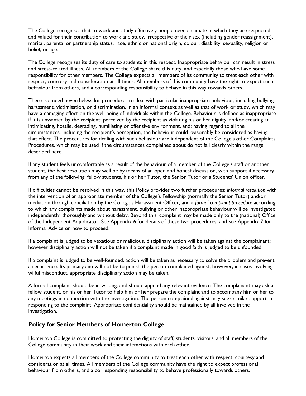The College recognises that to work and study effectively people need a climate in which they are respected and valued for their contribution to work and study, irrespective of their sex (including gender reassignment), marital, parental or partnership status, race, ethnic or national origin, colour, disability, sexuality, religion or belief, or age.

The College recognises its duty of care to students in this respect. Inappropriate behaviour can result in stress and stress-related illness. All members of the College share this duty, and especially those who have some responsibility for other members. The College expects all members of its community to treat each other with respect, courtesy and consideration at all times. All members of this community have the right to expect such behaviour from others, and a corresponding responsibility to behave in this way towards others.

There is a need nevertheless for procedures to deal with particular inappropriate behaviour, including bullying, harassment, victimisation, or discrimination, in an informal context as well as that of work or study, which may have a damaging effect on the well-being of individuals within the College. Behaviour is defined as inappropriate if it is unwanted by the recipient; perceived by the recipient as violating his or her dignity, and/or creating an intimidating, hostile, degrading, humiliating or offensive environment, and; having regard to all the circumstances, including the recipient's perception, the behaviour could reasonably be considered as having that effect. The procedures for dealing with such behaviour are independent of the College's other Complaints Procedures, which may be used if the circumstances complained about do not fall clearly within the range described here.

If any student feels uncomfortable as a result of the behaviour of a member of the College's staff or another student, the best resolution may well be by means of an open and honest discussion, with support if necessary from any of the following: fellow students, his or her Tutor, the Senior Tutor or a Students' Union officer.

If difficulties cannot be resolved in this way, this Policy provides two further procedures: *informal resolution* with the intervention of an appropriate member of the College's Fellowship (normally the Senior Tutor) and/or mediation through conciliation by the College's Harassment Officer; and a *formal complaint procedure* according to which any complaints made about harassment, bullying or other inappropriate behaviour will be investigated independently, thoroughly and without delay. Beyond this, complaint may be made only to the (national) Office of the Independent Adjudicator. See Appendix 6 for details of these two procedures, and see Appendix 7 for Informal Advice on how to proceed.

If a complaint is judged to be vexatious or malicious, disciplinary action will be taken against the complainant; however disciplinary action will not be taken if a complaint made in good faith is judged to be unfounded.

If a complaint is judged to be well-founded, action will be taken as necessary to solve the problem and prevent a recurrence. Its primary aim will not be to punish the person complained against; however, in cases involving wilful misconduct, appropriate disciplinary action may be taken.

A formal complaint should be in writing, and should append any relevant evidence. The complainant may ask a fellow student, or his or her Tutor to help him or her prepare the complaint and to accompany him or her to any meetings in connection with the investigation. The person complained against may seek similar support in responding to the complaint. Appropriate confidentiality should be maintained by all involved in the investigation.

#### **Policy for Senior Members of Homerton College**

Homerton College is committed to protecting the dignity of staff, students, visitors, and all members of the College community in their work and their interactions with each other.

Homerton expects all members of the College community to treat each other with respect, courtesy and consideration at all times. All members of the College community have the right to expect professional behaviour from others, and a corresponding responsibility to behave professionally towards others.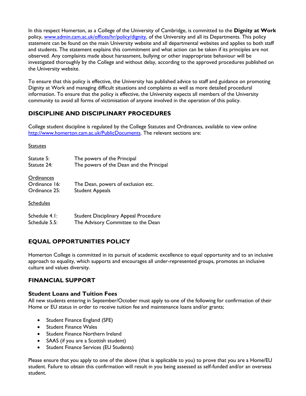In this respect Homerton, as a College of the University of Cambridge, is committed to the **Dignity at Work** policy, [www.admin.cam.ac.uk/offices/hr/policy/dignity,](http://www.admin.cam.ac.uk/offices/hr/policy/dignity) of the University and all its Departments. This policy statement can be found on the main University website and all departmental websites and applies to both staff and students. The statement explains this commitment and what action can be taken if its principles are not observed. Any complaints made about harassment, bullying or other inappropriate behaviour will be investigated thoroughly by the College and without delay, according to the approved procedures published on the University website.

To ensure that this policy is effective, the University has published advice to staff and guidance on promoting Dignity at Work and managing difficult situations and complaints as well as more detailed procedural information. To ensure that the policy is effective, the University expects all members of the University community to avoid all forms of victimisation of anyone involved in the operation of this policy.

#### **DISCIPLINE AND DISCIPLINARY PROCEDURES**

College student discipline is regulated by the College Statutes and Ordinances, available to view online [http://www.homerton.cam.ac.uk/PublicDocuments.](http://www.homerton.cam.ac.uk/PublicDocuments) The relevant sections are:

#### **Statutes**

| Statute 5:                                   | The powers of the Principal                                  |
|----------------------------------------------|--------------------------------------------------------------|
| Statute 24:                                  | The powers of the Dean and the Principal                     |
| Ordinances<br>Ordinance 16:<br>Ordinance 25: | The Dean, powers of exclusion etc.<br><b>Student Appeals</b> |
| <b>Schedules</b>                             |                                                              |
| Schedule 4.1:                                | Student Disciplinary Appeal Procedure                        |
| Schedule 5.5:                                | The Advisory Committee to the Dean                           |

# **EQUAL OPPORTUNITIES POLICY**

Homerton College is committed in its pursuit of academic excellence to equal opportunity and to an inclusive approach to equality, which supports and encourages all under-represented groups, promotes an inclusive culture and values diversity.

#### **FINANCIAL SUPPORT**

#### **Student Loans and Tuition Fees**

All new students entering in September/October must apply to one of the following for confirmation of their Home or EU status in order to receive tuition fee and maintenance loans and/or grants;

- Student Finance England (SFE)
- Student Finance Wales
- Student Finance Northern Ireland
- SAAS (if you are a Scottish student)
- **•** Student Finance Services (EU Students)

Please ensure that you apply to one of the above (that is applicable to you) to prove that you are a Home/EU student. Failure to obtain this confirmation will result in you being assessed as self-funded and/or an overseas student.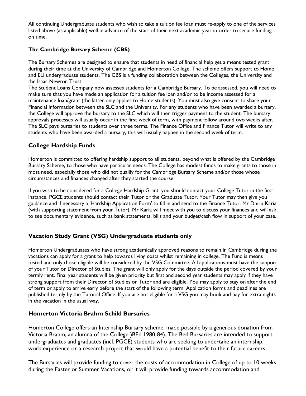All continuing Undergraduate students who wish to take a tuition fee loan must re-apply to one of the services listed above (as applicable) well in advance of the start of their next academic year in order to secure funding on time.

#### **The Cambridge Bursary Scheme (CBS)**

The Bursary Schemes are designed to ensure that students in need of financial help get a means tested grant during their time at the University of Cambridge and Homerton College. The scheme offers support to Home and EU undergraduate students. The CBS is a funding collaboration between the Colleges, the University and the Isaac Newton Trust.

The Student Loans Company now assesses students for a Cambridge Bursary. To be assessed, you will need to make sure that you have made an application for a tuition fee loan and/or to be income assessed for a maintenance loan/grant (the latter only applies to Home students). You must also give consent to share your Financial information between the SLC and the University. For any students who have been awarded a bursary, the College will approve the bursary to the SLC which will then trigger payment to the student. The bursary approvals processes will usually occur in the first week of term, with payment follow around two weeks after. The SLC pays bursaries to students over three terms. The Finance Office and Finance Tutor will write to any students who have been awarded a bursary, this will usually happen in the second week of term.

#### **College Hardship Funds**

Homerton is committed to offering hardship support to all students, beyond what is offered by the Cambridge Bursary Scheme, to those who have particular needs. The College has modest funds to make grants to those in most need, especially those who did not qualify for the Cambridge Bursary Scheme and/or those whose circumstances and finances changed after they started the course.

If you wish to be considered for a College Hardship Grant, you should contact your College Tutor in the first instance. PGCE students should contact their Tutor or the Graduate Tutor. Your Tutor may then give you guidance and if necessary a 'Hardship Application Form' to fill in and send to the Finance Tutor, Mr Dhiru Karia (with supporting statement from your Tutor). Mr Karia will meet with you to discuss your finances and will ask to see documentary evidence, such as bank statements, bills and your budget/cash flow in support of your case.

#### **Vacation Study Grant (VSG) Undergraduate students only**

Homerton Undergraduates who have strong academically approved reasons to remain in Cambridge during the vacations can apply for a grant to help towards living costs whilst remaining in college. The Fund is means tested and only those eligible will be considered by the VSG Committee. All applications must have the support of your Tutor or Director of Studies. The grant will only apply for the days outside the period covered by your termly rent. Final year students will be given priority but first and second year students may apply if they have strong support from their Director of Studies or Tutor and are eligible. You may apply to stay on after the end of term or apply to arrive early before the start of the following term. Application forms and deadlines are published termly by the Tutorial Office. If you are not eligible for a VSG you may book and pay for extra nights in the vacation in the usual way.

#### **Homerton Victoria Brahm Schild Bursaries**

Homerton College offers an Internship Bursary scheme, made possible by a generous donation from Victoria Brahm, an alumna of the College )BEd 1980-84). The Bed Bursaries are intended to support undergraduates and graduates (incl. PGCE) students who are seeking to undertake an internship, work experience or a research project that would have a potential benefit to their future careers.

The Bursaries will provide funding to cover the costs of accommodation in College of up to 10 weeks during the Easter or Summer Vacations, or it will provide funding towards accommodation and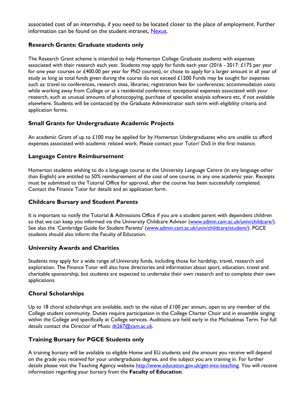associated cost of an internship, if you need to be located closer to the place of employment. Further information can be found on the student intranet, [Nexus.](http://www.homerton.cam.ac.uk/) 

#### **Research Grants: Graduate students only**

The Research Grant scheme is intended to help Homerton College Graduate students with expenses associated with their research each year. Students may apply for funds each year (2016 - 2017: £175 per year for one year courses or £400.00 per year for PhD courses), or chose to apply for a larger amount in all year of study as long as total funds given during the course do not exceed £1200 Funds may be sought for expenses such as: travel to conferences, research sites, libraries; registration fees for conferences; accommodation costs while working away from College or at a residential conference; exceptional expenses associated with your research, such as unusual amounts of photocopying, purchase of specialist analysis software etc, if not available elsewhere. Students will be contacted by the Graduate Administrator each term with eligibility criteria and application forms.

#### **Small Grants for Undergraduate Academic Projects**

An academic Grant of up to £100 may be applied for by Homerton Undergraduates who are unable to afford expenses associated with academic related work. Please contact your Tutor/ DoS in the first instance.

#### **Language Centre Reimbursement**

Homerton students wishing to do a language course at the University Language Centre (in any language other than English) are entitled to 50% reimbursement of the cost of one course, in any one academic year. Receipts must be submitted to the Tutorial Office for approval, after the course has been successfully completed. Contact the Finance Tutor for details and an application form.

#### **Childcare Bursary and Student Parents**

It is important to notify the Tutorial & Admissions Office if you are a student parent with dependent children so that we can keep you informed via the University Childcare Advisor [\(www.admin.cam.ac.uk/univ/childcare/\)](http://www.admin.cam.ac.uk/univ/childcare/). See also the 'Cambridge Guide for Student Parents' ([www.admin.cam.ac.uk/univ/childcare/student/\)](http://www.admin.cam.ac.uk/univ/childcare/student/). PGCE students should also inform the Faculty of Education.

#### **University Awards and Charities**

Students may apply for a wide range of University funds, including those for hardship, travel, research and exploration. The Finance Tutor will also have directories and information about sport, education, travel and charitable sponsorship, but students are expected to undertake their own research and to complete their own applications.

#### **Choral Scholarships**

Up to 18 choral scholarships are available, each to the value of  $\pounds$ 100 per annum, open to any member of the College student community. Duties require participation in the College Charter Choir and in ensemble singing within the College and specifically at College services. Auditions are held early in the Michaelmas Term. For full details contact the Director of Music [dt267@cam.ac.uk.](mailto:dt267@cam.ac.uk)

#### **Training Bursary for PGCE Students only**

A training bursary will be available to eligible Home and EU students and the amount you receive will depend on the grade you received for your undergraduate degree, and the subject you are training in. For further details please visit the Teaching Agency website [http://www.education.gov.uk/get-into-teaching.](http://www.education.gov.uk/get-into-teaching) You will receive information regarding your bursary from the **Faculty of Education**.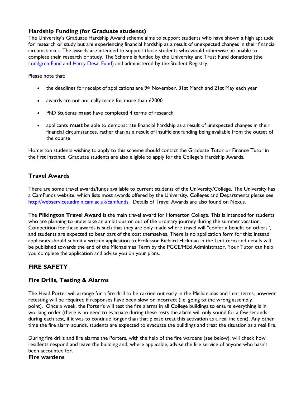#### **Hardship Funding (for Graduate students)**

The University's Graduate Hardship Award scheme aims to support students who have shown a high aptitude for research or study but are experiencing financial hardship as a result of unexpected changes in their financial circumstances. The awards are intended to support those students who would otherwise be unable to complete their research or study. The Scheme is funded by the University and Trust Fund donations (the [Lundgren Fund](http://www.admin.cam.ac.uk/univ/so/2015/chapter12-section2.html#heading2-307) and [Harry Desai Fund\)](http://www.admin.cam.ac.uk/univ/so/2015/chapter12-section2.html#heading2-138) and administered by the Student Registry.

Please note that:

- the deadlines for receipt of applications are  $9<sup>th</sup>$  November, 31st March and 21st May each year
- awards are not normally made for more than £2000
- PhD Students **must** have completed 4 terms of research
- applicants **must** be able to demonstrate financial hardship as a result of unexpected changes in their financial circumstances, rather than as a result of insufficient funding being available from the outset of the course

Homerton students wishing to apply to this scheme should contact the Graduate Tutor or Finance Tutor in the first instance. Graduate students are also eligible to apply for the College's Hardship Awards.

#### **Travel Awards**

There are some travel awards/funds available to current students of the University/College. The University has a CamFunds website, which lists most awards offered by the University, Colleges and Departments please see [http://webservices.admin.cam.ac.uk/camfunds.](http://webservices.admin.cam.ac.uk/camfunds) Details of Travel Awards are also found on Nexus.

The **Pilkington Travel Award** is the main travel award for Homerton College. This is intended for students who are planning to undertake an ambitious or out of the ordinary journey during the summer vacation. Competition for these awards is such that they are only made where travel will "confer a benefit on others", and students are expected to bear part of the cost themselves. There is no application form for this; instead applicants should submit a written application to Professor Richard Hickman in the Lent term and details will be published towards the end of the Michaelmas Term by the PGCE/MEd Administrator. Your Tutor can help you complete the application and advise you on your plans.

#### **FIRE SAFETY**

#### **Fire Drills, Testing & Alarms**

The Head Porter will arrange for a fire drill to be carried out early in the Michaelmas and Lent terms, however retesting will be required if responses have been slow or incorrect (i.e. going to the wrong assembly point). Once a week, the Porter's will test the fire alarms in all College buildings to ensure everything is in working order (there is no need to evacuate during these tests the alarm will only sound for a few seconds during each test, if it was to continue longer than that please treat this activation as a real incident). Any other time the fire alarm sounds, students are expected to evacuate the buildings and treat the situation as a real fire.

During fire drills and fire alarms the Porters, with the help of the fire wardens (see below), will check how residents respond and leave the building and, where applicable, advise the fire service of anyone who hasn't been accounted for.

#### **Fire wardens**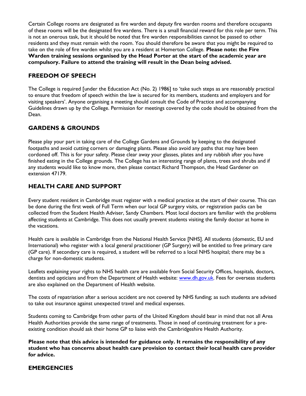Certain College rooms are designated as fire warden and deputy fire warden rooms and therefore occupants of these rooms will be the designated fire wardens. There is a small financial reward for this role per term. This is not an onerous task, but it should be noted that fire warden responsibilities cannot be passed to other residents and they must remain with the room. You should therefore be aware that you might be required to take on the role of fire warden whilst you are a resident at Homerton College. **Please note: the Fire Warden training sessions organised by the Head Porter at the start of the academic year are compulsory. Failure to attend the training will result in the Dean being advised.** 

#### **FREEDOM OF SPEECH**

The College is required [under the Education Act (No. 2) 1986] to 'take such steps as are reasonably practical to ensure that freedom of speech within the law is secured for its members, students and employers and for visiting speakers'. Anyone organising a meeting should consult the Code of Practice and accompanying Guidelines drawn up by the College. Permission for meetings covered by the code should be obtained from the Dean.

# **GARDENS & GROUNDS**

Please play your part in taking care of the College Gardens and Grounds by keeping to the designated footpaths and avoid cutting corners or damaging plants. Please also avoid any paths that may have been cordoned off. This is for your safety. Please clear away your glasses, plates and any rubbish after you have finished eating in the College grounds. The College has an interesting range of plants, trees and shrubs and if any students would like to know more, then please contact Richard Thompson, the Head Gardener on extension 47179.

#### **HEALTH CARE AND SUPPORT**

Every student resident in Cambridge must register with a medical practice at the start of their course. This can be done during the first week of Full Term when our local GP surgery visits, or registration packs can be collected from the Student Health Adviser, Sandy Chambers. Most local doctors are familiar with the problems affecting students at Cambridge. This does not usually prevent students visiting the family doctor at home in the vacations.

Health care is available in Cambridge from the National Health Service [NHS]. All students (domestic, EU and International) who register with a local general practitioner (GP Surgery) will be entitled to free primary care (GP care). If secondary care is required, a student will be referred to a local NHS hospital; there may be a charge for non-domestic students.

Leaflets explaining your rights to NHS health care are available from Social Security Offices, hospitals, doctors, dentists and opticians and from the Department of Health website: [www.dh.gov.uk.](http://www.dh.gov.uk/) Fees for overseas students are also explained on the Department of Health website.

The costs of repatriation after a serious accident are not covered by NHS funding; as such students are advised to take out insurance against unexpected travel and medical expenses.

Students coming to Cambridge from other parts of the United Kingdom should bear in mind that not all Area Health Authorities provide the same range of treatments. Those in need of continuing treatment for a preexisting condition should ask their home GP to liaise with the Cambridgeshire Health Authority.

**Please note that this advice is intended for guidance only. It remains the responsibility of any student who has concerns about health care provision to contact their local health care provider for advice.** 

#### **EMERGENCIES**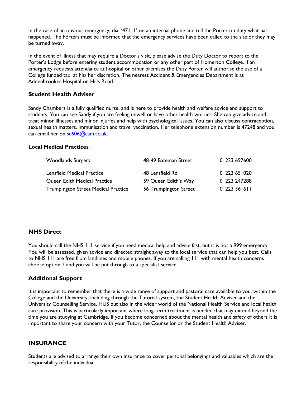In the case of an obvious emergency, dial '47111' on an internal phone and tell the Porter on duty what has happened. The Porters must be informed that the emergency services have been called to the site or they may be turned away.

In the event of illness that may require a Doctor's visit, please advise the Duty Doctor to report to the Porter's Lodge before entering student accommodation or any other part of Homerton College. If an emergency requests attendance at hospital or other premises the Duty Porter will authorise the use of a College funded taxi at his/ her discretion. The nearest Accident & Emergencies Department is at Addenbrookes Hospital on Hills Road.

#### **Student Health Adviser**

Sandy Chambers is a fully qualified nurse, and is here to provide health and welfare advice and support to students. You can see Sandy if you are feeling unwell or have other health worries. She can give advice and treat minor illnesses and minor injuries and help with psychological issues. You can also discuss contraception, sexual health matters, immunisation and travel vaccination. Her telephone extension number is 47248 and you can email her on [sc606@cam.ac.uk.](mailto:sc606@cam.ac.uk)

#### **Local Medical Practices**:

| <b>Woodlands Surgery</b>                   | 48-49 Bateman Street  | 01223 697600 |
|--------------------------------------------|-----------------------|--------------|
| <b>Lensfield Medical Practice</b>          | 48 Lensfield Rd       | 01223 651020 |
| Queen Edith Medical Practice               | 59 Queen Edith's Way  | 01223 247288 |
| <b>Trumpington Street Medical Practice</b> | 56 Trumpington Street | 01223 361611 |

#### **NHS Direct**

You should call the NHS 111 service if you need medical help and advice fast, but it is not a 999 emergency. You will be assessed, given advice and directed straight away to the local service that can help you best. Calls to NHS 111 are free from landlines and mobile phones. If you are calling 111 with mental health concerns choose option 2 and you will be put through to a specialist service.

#### **Additional Support**

It is important to remember that there is a wide range of support and pastoral care available to you, within the College and the University, including through the Tutorial system, the Student Health Adviser and the University Counselling Service, HUS but also in the wider world of the National Health Service and local health care provision. This is particularly important where long-term treatment is needed that may extend beyond the time you are studying at Cambridge. If you become concerned about the mental health and safety of others it is important to share your concern with your Tutor, the Counsellor or the Student Health Adviser.

#### **INSURANCE**

Students are advised to arrange their own insurance to cover personal belongings and valuables which are the responsibility of the individual.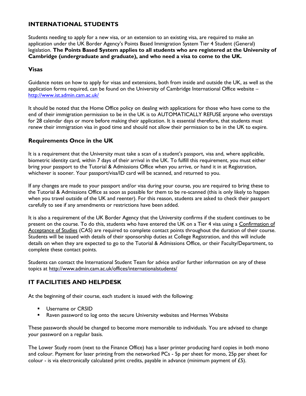#### **INTERNATIONAL STUDENTS**

Students needing to apply for a new visa, or an extension to an existing visa, are required to make an application under the UK Border Agency's Points Based Immigration System Tier 4 Student (General) legislation. **The Points Based System applies to all students who are registered at the University of Cambridge (undergraduate and graduate), and who need a visa to come to the UK.** 

#### **Visas**

Guidance notes on how to apply for visas and extensions, both from inside and outside the UK, as well as the application forms required, can be found on the University of Cambridge International Office website – <http://www.ist.admin.cam.ac.uk/>

It should be noted that the Home Office policy on dealing with applications for those who have come to the end of their immigration permission to be in the UK is to AUTOMATICALLY REFUSE anyone who overstays for 28 calendar days or more before making their application. It is essential therefore, that students must renew their immigration visa in good time and should not allow their permission to be in the UK to expire.

#### **Requirements Once in the UK**

It is a requirement that the University must take a scan of a student's passport, visa and, where applicable, biometric identity card, within 7 days of their arrival in the UK. To fulfill this requirement, you must either bring your passport to the Tutorial & Admissions Office when you arrive, or hand it in at Registration, whichever is sooner. Your passport/visa/ID card will be scanned, and returned to you.

If any changes are made to your passport and/or visa during your course, you are required to bring these to the Tutorial & Admissions Office as soon as possible for them to be re-scanned (this is only likely to happen when you travel outside of the UK and reenter). For this reason, students are asked to check their passport carefully to see if any amendments or restrictions have been added.

It is also a requirement of the UK Border Agency that the University confirms if the student continues to be present on the course. To do this, students who have entered the UK on a Tier 4 visa using a Confirmation of Acceptance of Studies (CAS) are required to complete contact points throughout the duration of their course. Students will be issued with details of their sponsorship duties at College Registration, and this will include details on when they are expected to go to the Tutorial & Admissions Office, or their Faculty/Department, to complete these contact points.

Students can contact the International Student Team for advice and/or further information on any of these topics at <http://www.admin.cam.ac.uk/offices/internationalstudents/>

#### **IT FACILITIES AND HELPDESK**

At the beginning of their course, each student is issued with the following:

- **Username or CRSID**
- Raven password to log onto the secure University websites and Hermes Website

These passwords should be changed to become more memorable to individuals. You are advised to change your password on a regular basis.

The Lower Study room (next to the Finance Office) has a laser printer producing hard copies in both mono and colour. Payment for laser printing from the networked PCs - 5p per sheet for mono, 25p per sheet for colour - is via electronically calculated print credits, payable in advance (minimum payment of  $£5$ ).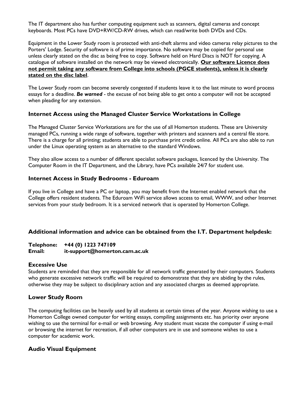The IT department also has further computing equipment such as scanners, digital cameras and concept keyboards. Most PCs have DVD+RW/CD-RW drives, which can read/write both DVDs and CDs.

Equipment in the Lower Study room is protected with anti-theft alarms and video cameras relay pictures to the Porters' Lodge. Security of software is of prime importance. No software may be copied for personal use unless clearly stated on the disc as being free to copy. Software held on Hard Discs is NOT for copying. A catalogue of software installed on the network may be viewed electronically. **Our software Licence does not permit taking any software from College into schools (PGCE students), unless it is clearly stated on the disc label**.

The Lower Study room can become severely congested if students leave it to the last minute to word process essays for a deadline. *Be warned* - the excuse of not being able to get onto a computer will not be accepted when pleading for any extension.

#### **Internet Access using the Managed Cluster Service Workstations in College**

The Managed Cluster Service Workstations are for the use of all Homerton students. These are University managed PCs, running a wide range of software, together with printers and scanners and a central file store. There is a charge for all printing; students are able to purchase print credit online. All PCs are also able to run under the Linux operating system as an alternative to the standard Windows.

They also allow access to a number of different specialist software packages, licenced by the University. The Computer Room in the IT Department, and the Library, have PCs available 24/7 for student use.

#### **Internet Access in Study Bedrooms - Eduroam**

If you live in College and have a PC or laptop, you may benefit from the Internet enabled network that the College offers resident students. The Eduroam WiFi service allows access to email, WWW, and other Internet services from your study bedroom. It is a serviced network that is operated by Homerton College.

#### **Additional information and advice can be obtained from the I.T. Department helpdesk:**

#### **Telephone: +44 (0) 1223 747109 Email: it-support@homerton.cam.ac.uk**

#### **Excessive Use**

Students are reminded that they are responsible for all network traffic generated by their computers. Students who generate excessive network traffic will be required to demonstrate that they are abiding by the rules, otherwise they may be subject to disciplinary action and any associated charges as deemed appropriate.

#### **Lower Study Room**

The computing facilities can be heavily used by all students at certain times of the year. Anyone wishing to use a Homerton College owned computer for writing essays, compiling assignments etc. has priority over anyone wishing to use the terminal for e-mail or web browsing. Any student must vacate the computer if using e-mail or browsing the internet for recreation, if all other computers are in use and someone wishes to use a computer for academic work.

#### **Audio Visual Equipment**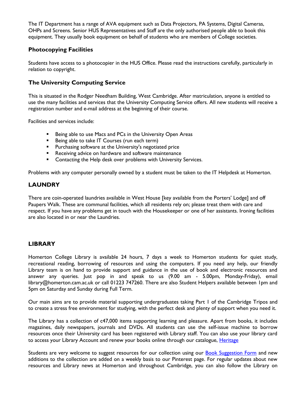The IT Department has a range of AVA equipment such as Data Projectors, PA Systems, Digital Cameras, OHPs and Screens. Senior HUS Representatives and Staff are the only authorised people able to book this equipment. They usually book equipment on behalf of students who are members of College societies.

#### **Photocopying Facilities**

Students have access to a photocopier in the HUS Office. Please read the instructions carefully, particularly in relation to copyright.

#### **The University Computing Service**

This is situated in the Rodger Needham Building, West Cambridge. After matriculation, anyone is entitled to use the many facilities and services that the University Computing Service offers. All new students will receive a registration number and e-mail address at the beginning of their course.

Facilities and services include:

- **Being able to use Macs and PCs in the University Open Areas**
- Being able to take IT Courses (run each term)
- **Purchasing software at the University's negotiated price**
- **Receiving advice on hardware and software maintenance**
- **EXECO** Contacting the Help desk over problems with University Services.

Problems with any computer personally owned by a student must be taken to the IT Helpdesk at Homerton.

#### **LAUNDRY**

There are coin-operated laundries available in West House [key available from the Porters' Lodge] and off Paupers Walk. These are communal facilities, which all residents rely on; please treat them with care and respect. If you have any problems get in touch with the Housekeeper or one of her assistants. Ironing facilities are also located in or near the Laundries.

#### **LIBRARY**

Homerton College Library is available 24 hours, 7 days a week to Homerton students for quiet study, recreational reading, borrowing of resources and using the computers. If you need any help, our friendly Library team is on hand to provide support and guidance in the use of book and electronic resources and answer any queries. Just pop in and speak to us (9.00 am - 5.00pm, Monday-Friday), email library@homerton.cam.ac.uk or call 01223 747260. There are also Student Helpers available between 1pm and 5pm on Saturday and Sunday during Full Term.

Our main aims are to provide material supporting undergraduates taking Part 1 of the Cambridge Tripos and to create a stress free environment for studying, with the perfect desk and plenty of support when you need it.

The Library has a collection of c47,000 items supporting learning and pleasure. Apart from books, it includes magazines, daily newspapers, journals and DVDs. All students can use the self-issue machine to borrow resources once their University card has been registered with Library staff. You can also use your library card to access your Library Account and renew your books online through our catalogue, *Heritage* 

Students are very welcome to suggest resources for our collection using our [Book Suggestion Form](https://homlib.wordpress.com/suggest-a-book/) and new additions to the collection are added on a weekly basis to our Pinterest page. For regular updates about new resources and Library news at Homerton and throughout Cambridge, you can also follow the Library on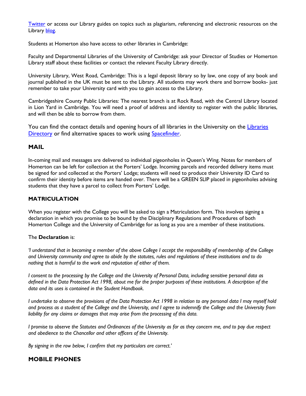[Twitter](https://twitter.com/HomertonCollege) or access our Library guides on topics such as plagiarism, referencing and electronic resources on the Library [blog.](https://homlib.wordpress.com/)

Students at Homerton also have access to other libraries in Cambridge:

Faculty and Departmental Libraries of the University of Cambridge: ask your Director of Studies or Homerton Library staff about these facilities or contact the relevant Faculty Library directly.

University Library, West Road, Cambridge: This is a legal deposit library so by law, one copy of any book and journal published in the UK must be sent to the Library. All students may work there and borrow books- just remember to take your University card with you to gain access to the Library.

Cambridgeshire County Public Libraries: The nearest branch is at Rock Road, with the Central Library located in Lion Yard in Cambridge. You will need a proof of address and identity to register with the public libraries, and will then be able to borrow from them.

You can find the contact details and opening hours of all libraries in the University on the Libraries [Directory](http://www.lib.cam.ac.uk/libraries_directory/libraries_directory_n.cgi) or find alternative spaces to work using [Spacefinder.](https://spacefinder.lib.cam.ac.uk/)

#### **MAIL**

In-coming mail and messages are delivered to individual pigeonholes in Queen's Wing. Notes for members of Homerton can be left for collection at the Porters' Lodge. Incoming parcels and recorded delivery items must be signed for and collected at the Porters' Lodge; students will need to produce their University ID Card to confirm their identity before items are handed over. There will be a GREEN SLIP placed in pigeonholes advising students that they have a parcel to collect from Porters' Lodge.

#### **MATRICULATION**

When you register with the College you will be asked to sign a Matriculation form. This involves signing a declaration in which you promise to be bound by the Disciplinary Regulations and Procedures of both Homerton College and the University of Cambridge for as long as you are a member of these institutions.

#### The **Declaration** is:

*'I understand that in becoming a member of the above College I accept the responsibility of membership of the College and University community and agree to abide by the statutes, rules and regulations of these institutions and to do nothing that is harmful to the work and reputation of either of them.* 

*I consent to the processing by the College and the University of Personal Data, including sensitive personal data as defined in the Data Protection Act 1998, about me for the proper purposes of these institutions. A description of the data and its uses is contained in the Student Handbook.* 

*I undertake to observe the provisions of the Data Protection Act 1998 in relation to any personal data I may myself hold and process as a student of the College and the University, and I agree to indemnify the College and the University from liability for any claims or damages that may arise from the processing of this data.* 

*I promise to observe the Statutes and Ordinances of the University as far as they concern me, and to pay due respect and obedience to the Chancellor and other officers of the University.* 

*By signing in the row below, I confirm that my particulars are correct.'* 

#### **MOBILE PHONES**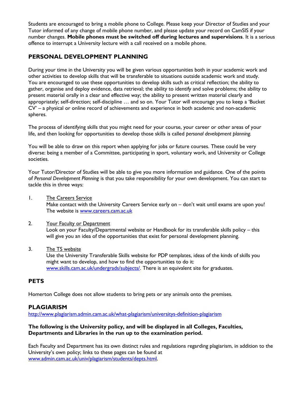Students are encouraged to bring a mobile phone to College. Please keep your Director of Studies and your Tutor informed of any change of mobile phone number, and please update your record on CamSIS if your number changes. **Mobile phones must be switched off during lectures and supervisions**. It is a serious offence to interrupt a University lecture with a call received on a mobile phone.

#### **PERSONAL DEVELOPMENT PLANNING**

During your time in the University you will be given various opportunities both in your academic work and other activities to develop skills that will be transferable to situations outside academic work and study. You are encouraged to use these opportunities to develop skills such as critical reflection; the ability to gather, organise and deploy evidence, data retrieval; the ability to identify and solve problems; the ability to present material orally in a clear and effective way; the ability to present written material clearly and appropriately; self-direction; self-discipline … and so on. Your Tutor will encourage you to keep a 'Bucket CV' – a physical or online record of achievements and experience in both academic and non-academic spheres.

The process of identifying skills that you might need for your course, your career or other areas of your life, and then looking for opportunities to develop those skills is called *personal development planning.* 

You will be able to draw on this report when applying for jobs or future courses. These could be very diverse: being a member of a Committee, participating in sport, voluntary work, and University or College societies.

Your Tutor/Director of Studies will be able to give you more information and guidance. One of the points of *Personal Development Planning* is that you take responsibility for your own development. You can start to tackle this in three ways:

1. The Careers Service

Make contact with the University Careers Service early on - don't wait until exams are upon you! The website is [www.careers.cam.ac.uk](http://www.careers.cam.ac.uk/)

#### 2. Your Faculty or Department

Look on your Faculty/Departmental website or Handbook for its transferable skills policy – this will give you an idea of the opportunities that exist for personal development planning.

3. The TS website

Use the University Transferable Skills website for PDP templates, ideas of the kinds of skills you might want to develop, and how to find the opportunities to do it: [www.skills.cam.ac.uk/undergrads/subjects/.](http://www.skills.cam.ac.uk/undergrads/subjects/) There is an equivalent site for graduates.

#### **PETS**

Homerton College does not allow students to bring pets or any animals onto the premises.

#### **PLAGIARISM**

<http://www.plagiarism.admin.cam.ac.uk/what-plagiarism/universitys-definition-plagiarism>

#### **The following is the University policy, and will be displayed in all Colleges, Faculties, Departments and Libraries in the run up to the examination period.**

Each Faculty and Department has its own distinct rules and regulations regarding plagiarism, in addition to the University's own policy; links to these pages can be found at [www.admin.cam.ac.uk/univ/plagiarism/students/depts.html.](http://www.admin.cam.ac.uk/univ/plagiarism/students/depts.html)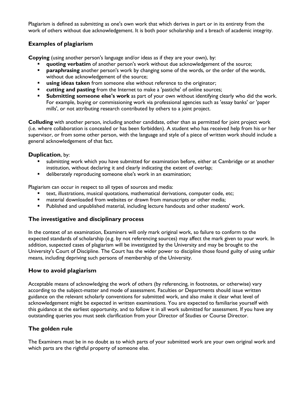Plagiarism is defined as submitting as one's own work that which derives in part or in its entirety from the work of others without due acknowledgement. It is both poor scholarship and a breach of academic integrity.

#### **Examples of plagiarism**

**Copying** (using another person's language and/or ideas as if they are your own), by:

- **quoting verbatim** of another person's work without due acknowledgement of the source;
- **Paraphrasing** another person's work by changing some of the words, or the order of the words, without due acknowledgement of the source;
- **using ideas taken** from someone else without reference to the originator;
- **EXECUTE:** cutting and pasting from the Internet to make a 'pastiche' of online sources;
- **Submitting someone else's work** as part of your own without identifying clearly who did the work. For example, buying or commissioning work via professional agencies such as 'essay banks' or 'paper mills', or not attributing research contributed by others to a joint project.

**Colluding** with another person, including another candidate, other than as permitted for joint project work (i.e. where collaboration is concealed or has been forbidden). A student who has received help from his or her supervisor, or from some other person, with the language and style of a piece of written work should include a general acknowledgement of that fact.

#### **Duplication**, by:

- submitting work which you have submitted for examination before, either at Cambridge or at another institution, without declaring it and clearly indicating the extent of overlap;
- deliberately reproducing someone else's work in an examination;

Plagiarism can occur in respect to all types of sources and media:

- text, illustrations, musical quotations, mathematical derivations, computer code, etc;
- material downloaded from websites or drawn from manuscripts or other media;
- Published and unpublished material, including lecture handouts and other students' work.

#### **The investigative and disciplinary process**

In the context of an examination, Examiners will only mark original work, so failure to conform to the expected standards of scholarship (e.g. by not referencing sources) may affect the mark given to your work. In addition, suspected cases of plagiarism will be investigated by the University and may be brought to the University's Court of Discipline. The Court has the wider power to discipline those found guilty of using unfair means, including depriving such persons of membership of the University.

#### **How to avoid plagiarism**

Acceptable means of acknowledging the work of others (by referencing, in footnotes, or otherwise) vary according to the subject-matter and mode of assessment. Faculties or Departments should issue written guidance on the relevant scholarly conventions for submitted work, and also make it clear what level of acknowledgement might be expected in written examinations. You are expected to familiarise yourself with this guidance at the earliest opportunity, and to follow it in all work submitted for assessment. If you have any outstanding queries you must seek clarification from your Director of Studies or Course Director.

#### **The golden rule**

The Examiners must be in no doubt as to which parts of your submitted work are your own original work and which parts are the rightful property of someone else.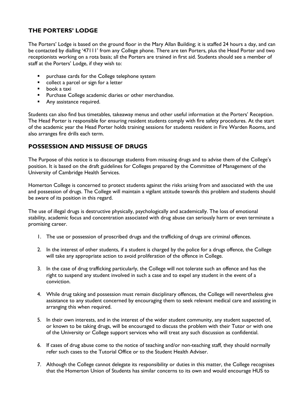#### **THE PORTERS' LODGE**

The Porters' Lodge is based on the ground floor in the Mary Allan Building; it is staffed 24 hours a day, and can be contacted by dialling '47111' from any College phone. There are ten Porters, plus the Head Porter and two receptionists working on a rota basis; all the Porters are trained in first aid. Students should see a member of staff at the Porters' Lodge, if they wish to:

- purchase cards for the College telephone system
- **•** collect a parcel or sign for a letter
- book a taxi
- **Purchase College academic diaries or other merchandise.**
- **Any assistance required.**

Students can also find bus timetables, takeaway menus and other useful information at the Porters' Reception. The Head Porter is responsible for ensuring resident students comply with fire safety procedures. At the start of the academic year the Head Porter holds training sessions for students resident in Fire Warden Rooms, and also arranges fire drills each term.

#### **POSSESSION AND MISSUSE OF DRUGS**

The Purpose of this notice is to discourage students from misusing drugs and to advise them of the College's position. It is based on the draft guidelines for Colleges prepared by the Committee of Management of the University of Cambridge Health Services.

Homerton College is concerned to protect students against the risks arising from and associated with the use and possession of drugs. The College will maintain a vigilant attitude towards this problem and students should be aware of its position in this regard.

The use of illegal drugs is destructive physically, psychologically and academically. The loss of emotional stability, academic focus and concentration associated with drug abuse can seriously harm or even terminate a promising career.

- 1. The use or possession of proscribed drugs and the trafficking of drugs are criminal offences.
- 2. In the interest of other students, if a student is charged by the police for a drugs offence, the College will take any appropriate action to avoid proliferation of the offence in College.
- 3. In the case of drug trafficking particularly, the College will not tolerate such an offence and has the right to suspend any student involved in such a case and to expel any student in the event of a conviction.
- 4. While drug taking and possession must remain disciplinary offences, the College will nevertheless give assistance to any student concerned by encouraging them to seek relevant medical care and assisting in arranging this when required.
- 5. In their own interests, and in the interest of the wider student community, any student suspected of, or known to be taking drugs, will be encouraged to discuss the problem with their Tutor or with one of the University or College support services who will treat any such discussion as confidential.
- 6. If cases of drug abuse come to the notice of teaching and/or non-teaching staff, they should normally refer such cases to the Tutorial Office or to the Student Health Adviser.
- 7. Although the College cannot delegate its responsibility or duties in this matter, the College recognises that the Homerton Union of Students has similar concerns to its own and would encourage HUS to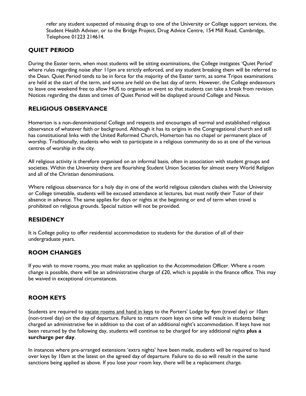refer any student suspected of misusing drugs to one of the University or College support services, the Student Health Adviser, or to the Bridge Project, Drug Advice Centre, 154 Mill Road, Cambridge, Telephone 01223 214614.

#### **QUIET PERIOD**

During the Easter term, when most students will be sitting examinations, the College instigates 'Quiet Period' where rules regarding noise after 11pm are strictly enforced, and any student breaking them will be referred to the Dean. Quiet Period tends to be in force for the majority of the Easter term, as some Tripos examinations are held at the start of the term, and some are held on the last day of term. However, the College endeavours to leave one weekend free to allow HUS to organise an event so that students can take a break from revision. Notices regarding the dates and times of Quiet Period will be displayed around College and Nexus.

#### **RELIGIOUS OBSERVANCE**

Homerton is a non-denominational College and respects and encourages all normal and established religious observance of whatever faith or background. Although it has its origins in the Congregational church and still has constitutional links with the United Reformed Church, Homerton has no chapel or permanent place of worship. Traditionally, students who wish to participate in a religious community do so at one of the various centres of worship in the city.

All religious activity is therefore organised on an informal basis, often in association with student groups and societies. Within the University there are flourishing Student Union Societies for almost every World Religion and all of the Christian denominations.

Where religious observance for a holy day in one of the world religious calendars clashes with the University or College timetable, students will be excused attendance at lectures, but must notify their Tutor of their absence in advance. The same applies for days or nights at the beginning or end of term when travel is prohibited on religious grounds. Special tuition will not be provided.

#### **RESIDENCY**

It is College policy to offer residential accommodation to students for the duration of all of their undergraduate years.

#### **ROOM CHANGES**

If you wish to move rooms, you must make an application to the Accommodation Officer. Where a room change is possible, there will be an administrative charge of  $£20$ , which is payable in the finance office. This may be waived in exceptional circumstances.

#### **ROOM KEYS**

Students are required to vacate rooms and hand in keys to the Porters' Lodge by 4pm (travel day) or 10am (non-travel day) on the day of departure. Failure to return room keys on time will result in students being charged an administrative fee in addition to the cost of an additional night's accommodation. If keys have not been returned by the following day, students will continue to be charged for any additional nights **plus a surcharge per day**.

In instances where pre-arranged extensions 'extra nights' have been made, students will be required to hand over keys by 10am at the latest on the agreed day of departure. Failure to do so will result in the same sanctions being applied as above. If you lose your room key, there will be a replacement charge.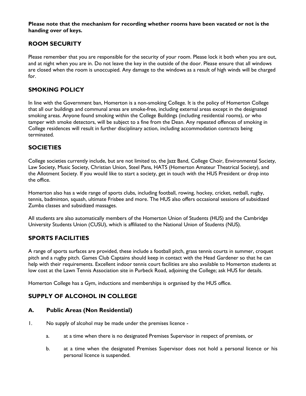**Please note that the mechanism for recording whether rooms have been vacated or not is the handing over of keys.**

#### **ROOM SECURITY**

Please remember that you are responsible for the security of your room. Please lock it both when you are out, and at night when you are in. Do not leave the key in the outside of the door. Please ensure that all windows are closed when the room is unoccupied. Any damage to the windows as a result of high winds will be charged for.

#### **SMOKING POLICY**

In line with the Government ban, Homerton is a non-smoking College. It is the policy of Homerton College that all our buildings and communal areas are smoke-free, including external areas except in the designated smoking areas. Anyone found smoking within the College Buildings (including residential rooms), or who tamper with smoke detectors, will be subject to a fine from the Dean. Any repeated offences of smoking in College residences will result in further disciplinary action, including accommodation contracts being terminated.

#### **SOCIETIES**

College societies currently include, but are not limited to, the Jazz Band, College Choir, Environmental Society, Law Society, Music Society, Christian Union, Steel Pans, HATS (Homerton Amateur Theatrical Society), and the Allotment Society. If you would like to start a society, get in touch with the HUS President or drop into the office.

Homerton also has a wide range of sports clubs, including football, rowing, hockey, cricket, netball, rugby, tennis, badminton, squash, ultimate Frisbee and more. The HUS also offers occasional sessions of subsidized Zumba classes and subsidized massages.

All students are also automatically members of the Homerton Union of Students (HUS) and the Cambridge University Students Union (CUSU), which is affiliated to the National Union of Students (NUS).

#### **SPORTS FACILITIES**

A range of sports surfaces are provided, these include a football pitch, grass tennis courts in summer, croquet pitch and a rugby pitch. Games Club Captains should keep in contact with the Head Gardener so that he can help with their requirements. Excellent indoor tennis court facilities are also available to Homerton students at low cost at the Lawn Tennis Association site in Purbeck Road, adjoining the College; ask HUS for details.

Homerton College has a Gym, inductions and memberships is organised by the HUS office.

#### **SUPPLY OF ALCOHOL IN COLLEGE**

#### **A. Public Areas (Non Residential)**

- 1. No supply of alcohol may be made under the premises licence
	- a. at a time when there is no designated Premises Supervisor in respect of premises, or
	- b. at a time when the designated Premises Supervisor does not hold a personal licence or his personal licence is suspended.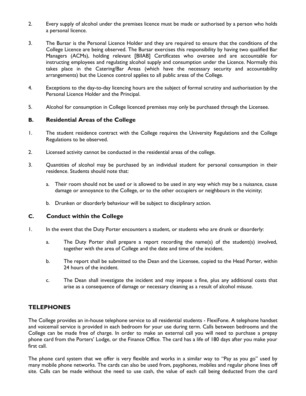- 2. Every supply of alcohol under the premises licence must be made or authorised by a person who holds a personal licence.
- 3. The Bursar is the Personal Licence Holder and they are required to ensure that the conditions of the College Licence are being observed. The Bursar exercises this responsibility by having two qualified Bar Managers (ACMs), holding relevant [BIIAB] Certificates who oversee and are accountable for instructing employees and regulating alcohol supply and consumption under the Licence. Normally this takes place in the Catering/Bar Areas (which have the necessary security and accountability arrangements) but the Licence control applies to all public areas of the College.
- 4. Exceptions to the day-to-day licencing hours are the subject of formal scrutiny and authorisation by the Personal Licence Holder and the Principal.
- 5. Alcohol for consumption in College licenced premises may only be purchased through the Licensee.

#### **B. Residential Areas of the College**

- 1. The student residence contract with the College requires the University Regulations and the College Regulations to be observed.
- 2. Licensed activity cannot be conducted in the residential areas of the college.
- 3. Quantities of alcohol may be purchased by an individual student for personal consumption in their residence. Students should note that:
	- a. Their room should not be used or is allowed to be used in any way which may be a nuisance, cause damage or annoyance to the College, or to the other occupiers or neighbours in the vicinity;
	- b. Drunken or disorderly behaviour will be subject to disciplinary action.

#### **C. Conduct within the College**

- 1. In the event that the Duty Porter encounters a student, or students who are drunk or disorderly:
	- a. The Duty Porter shall prepare a report recording the name(s) of the student(s) involved, together with the area of College and the date and time of the incident.
	- b. The report shall be submitted to the Dean and the Licensee, copied to the Head Porter, within 24 hours of the incident.
	- c. The Dean shall investigate the incident and may impose a fine, plus any additional costs that arise as a consequence of damage or necessary cleaning as a result of alcohol misuse.

#### **TELEPHONES**

The College provides an in-house telephone service to all residential students - FlexiFone. A telephone handset and voicemail service is provided in each bedroom for your use during term. Calls between bedrooms and the College can be made free of charge. In order to make an external call you will need to purchase a prepay phone card from the Porters' Lodge, or the Finance Office. The card has a life of 180 days after you make your first call.

The phone card system that we offer is very flexible and works in a similar way to "Pay as you go" used by many mobile phone networks. The cards can also be used from, payphones, mobiles and regular phone lines off site. Calls can be made without the need to use cash, the value of each call being deducted from the card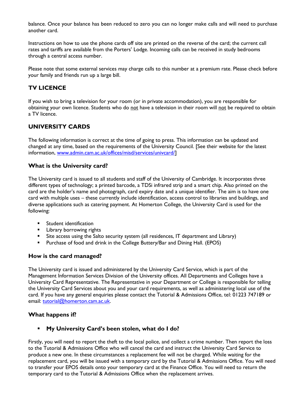balance. Once your balance has been reduced to zero you can no longer make calls and will need to purchase another card.

Instructions on how to use the phone cards off site are printed on the reverse of the card; the current call rates and tariffs are available from the Porters' Lodge. Incoming calls can be received in study bedrooms through a central access number.

Please note that some external services may charge calls to this number at a premium rate. Please check before your family and friends run up a large bill.

#### **TV LICENCE**

If you wish to bring a television for your room (or in private accommodation), you are responsible for obtaining your own licence. Students who do not have a television in their room will not be required to obtain a TV licence.

#### **UNIVERSITY CARDS**

The following information is correct at the time of going to press. This information can be updated and changed at any time, based on the requirements of the University Council. [See their website for the latest information, [www.admin.cam.ac.uk/offices/misd/services/univcard/\]](http://www.admin.cam.ac.uk/offices/misd/services/univcard/)

#### **What is the University card?**

The University card is issued to all students and staff of the University of Cambridge. It incorporates three different types of technology; a printed barcode, a TDSi infrared strip and a smart chip. Also printed on the card are the holder's name and photograph, card expiry date and a unique identifier. The aim is to have one card with multiple uses – these currently include identification, access control to libraries and buildings, and diverse applications such as catering payment. At Homerton College, the University Card is used for the following:

- **Student identification**
- **EXECUTE:** Library borrowing rights
- **Site access using the Salto security system (all residences, IT department and Library)**
- Purchase of food and drink in the College Buttery/Bar and Dining Hall. (EPOS)

#### **How is the card managed?**

The University card is issued and administered by the University Card Service, which is part of the Management Information Services Division of the University offices. All Departments and Colleges have a University Card Representative. The Representative in your Department or College is responsible for telling the University Card Services about you and your card requirements, as well as administering local use of the card. If you have any general enquiries please contact the Tutorial & Admissions Office, tel: 01223 747189 or email: [tutorial@homerton.cam.ac.uk.](mailto:tutorial@homerton.cam.ac.uk)

#### **What happens if?**

#### **My University Card's been stolen, what do I do?**

Firstly, you will need to report the theft to the local police, and collect a crime number. Then report the loss to the Tutorial & Admissions Office who will cancel the card and instruct the University Card Service to produce a new one. In these circumstances a replacement fee will not be charged. While waiting for the replacement card, you will be issued with a temporary card by the Tutorial & Admissions Office. You will need to transfer your EPOS details onto your temporary card at the Finance Office. You will need to return the temporary card to the Tutorial & Admissions Office when the replacement arrives.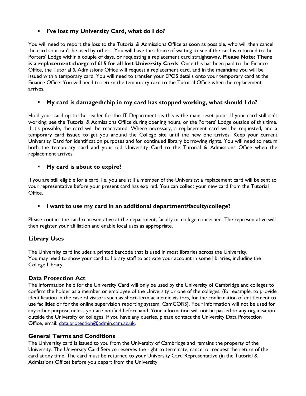#### **I've lost my University Card, what do I do?**

You will need to report the loss to the Tutorial & Admissions Office as soon as possible, who will then cancel the card so it can't be used by others. You will have the choice of waiting to see if the card is returned to the Porters' Lodge within a couple of days, or requesting a replacement card straightaway. **Please Note: There is a replacement charge of £15 for all lost University Cards**. Once this has been paid to the Finance Office, the Tutorial & Admissions Office will request a replacement card, and in the meantime you will be issued with a temporary card. You will need to transfer your EPOS details onto your temporary card at the Finance Office. You will need to return the temporary card to the Tutorial Office when the replacement arrives.

#### **My card is damaged/chip in my card has stopped working, what should I do?**

Hold your card up to the reader for the IT Department, as this is the main reset point. If your card still isn't working, see the Tutorial & Admissions Office during opening hours, or the Porters' Lodge outside of this time. If it's possible, the card will be reactivated. Where necessary, a replacement card will be requested, and a temporary card issued to get you around the College site until the new one arrives. Keep your current University Card for identification purposes and for continued library borrowing rights. You will need to return both the temporary card and your old University Card to the Tutorial & Admissions Office when the replacement arrives.

#### **My card is about to expire?**

If you are still eligible for a card, i.e. you are still a member of the University; a replacement card will be sent to your representative before your present card has expired. You can collect your new card from the Tutorial Office.

#### **I want to use my card in an additional department/faculty/college?**

Please contact the card representative at the department, faculty or college concerned. The representative will then register your affiliation and enable local uses as appropriate.

#### **Library Uses**

The University card includes a printed barcode that is used in most libraries across the University. You may need to show your card to library staff to activate your account in some libraries, including the College Library.

#### **Data Protection Act**

The information held for the University Card will only be used by the University of Cambridge and colleges to confirm the holder as a member or employee of the University or one of the colleges, (for example, to provide identification in the case of visitors such as short-term academic visitors, for the confirmation of entitlement to use facilities or for the online supervision reporting system, CamCORS). Your information will not be used for any other purpose unless you are notified beforehand. Your information will not be passed to any organisation outside the University or colleges. If you have any queries, please contact the University Data Protection Office, email: [data.protection@admin.cam.ac.uk.](mailto:data.protection@admin.cam.ac.uk)

#### **General Terms and Conditions**

The University card is issued to you from the University of Cambridge and remains the property of the University. The University Card Service reserves the right to terminate, cancel or request the return of the card at any time. The card must be returned to your University Card Representative (in the Tutorial & Admissions Office) before you depart from the University.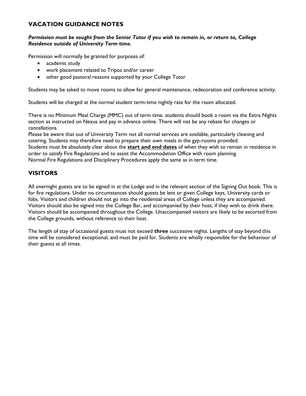#### **VACATION GUIDANCE NOTES**

#### *Permission must be sought from the Senior Tutor if you wish to remain in, or return to, College Residence outside of University Term time.*

Permission will normally be granted for purposes of:

- academic study
- work placement related to Tripos and/or career
- other good pastoral reasons supported by your College Tutor

Students may be asked to move rooms to allow for general maintenance, redecoration and conference activity.

Students will be charged at the normal student term-time nightly rate for the room allocated.

There is no Minimum Meal Charge (MMC) out of term time. students should book a room via the Extra Nights section as instructed on Nexus and pay in advance online. There will not be any rebate for changes or cancellations.

Please be aware that out of University Term not all normal services are available, particularly cleaning and catering. Students may therefore need to prepare their own meals in the gyp-rooms provided. Students must be absolutely clear about the **start and end dates** of when they wish to remain in residence in order to satisfy Fire Regulations and to assist the Accommodation Office with room planning. Normal Fire Regulations and Disciplinary Procedures apply the same as in term time.

#### **VISITORS**

All overnight guests are to be signed in at the Lodge and in the relevant section of the Signing Out book. This is for fire regulations. Under no circumstances should guests be lent or given College keys, University cards or fobs. Visitors and children should not go into the residential areas of College unless they are accompanied. Visitors should also be signed into the College Bar, and accompanied by their host, if they wish to drink there. Visitors should be accompanied throughout the College. Unaccompanied visitors are likely to be escorted from the College grounds, without reference to their host.

<span id="page-44-0"></span>The length of stay of occasional guests must not exceed **three** successive nights. Lengths of stay beyond this time will be considered exceptional, and must be paid for. Students are wholly responsible for the behaviour of their guests at all times.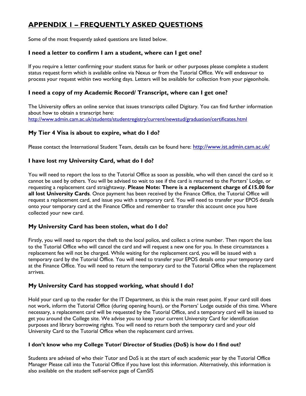# **APPENDIX 1 – FREQUENTLY ASKED QUESTIONS**

Some of the most frequently asked questions are listed below.

#### **I need a letter to confirm I am a student, where can I get one?**

If you require a letter confirming your student status for bank or other purposes please complete a student status request form which is available online via Nexus or from the Tutorial Office. We will endeavour to process your request within two working days. Letters will be available for collection from your pigeonhole.

#### **I need a copy of my Academic Record/ Transcript, where can I get one?**

The University offers an online service that issues transcripts called Digitary. You can find further information about how to obtain a transcript here: <http://www.admin.cam.ac.uk/students/studentregistry/current/newstud/graduation/certificates.html>

#### **My Tier 4 Visa is about to expire, what do I do?**

Please contact the International Student Team, details can be found here: <http://www.ist.admin.cam.ac.uk/>

#### **I have lost my University Card, what do I do?**

You will need to report the loss to the Tutorial Office as soon as possible, who will then cancel the card so it cannot be used by others. You will be advised to wait to see if the card is returned to the Porters' Lodge, or requesting a replacement card straightaway. **Please Note: There is a replacement charge of £15.00 for all lost University Cards**. Once payment has been received by the Finance Office, the Tutorial Office will request a replacement card, and issue you with a temporary card. You will need to transfer your EPOS details onto your temporary card at the Finance Office and remember to transfer this account once you have collected your new card.

#### **My University Card has been stolen, what do I do?**

Firstly, you will need to report the theft to the local police, and collect a crime number. Then report the loss to the Tutorial Office who will cancel the card and will request a new one for you. In these circumstances a replacement fee will not be charged. While waiting for the replacement card, you will be issued with a temporary card by the Tutorial Office. You will need to transfer your EPOS details onto your temporary card at the Finance Office. You will need to return the temporary card to the Tutorial Office when the replacement arrives.

#### **My University Card has stopped working, what should I do?**

Hold your card up to the reader for the IT Department, as this is the main reset point. If your card still does not work, inform the Tutorial Office (during opening hours), or the Porters' Lodge outside of this time. Where necessary, a replacement card will be requested by the Tutorial Office, and a temporary card will be issued to get you around the College site. We advise you to keep your current University Card for identification purposes and library borrowing rights. You will need to return both the temporary card and your old University Card to the Tutorial Office when the replacement card arrives.

#### **I don't know who my College Tutor/ Director of Studies (DoS) is how do I find out?**

Students are advised of who their Tutor and DoS is at the start of each academic year by the Tutorial Office Manager Please call into the Tutorial Office if you have lost this information. Alternatively, this information is also available on the student self-service page of CamSIS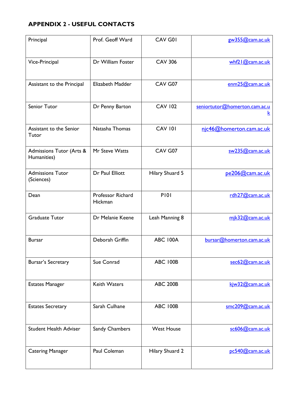# **APPENDIX 2 - USEFUL CONTACTS**

| Principal                               | Prof. Geoff Ward             | CAV G01           | gw355@cam.ac.uk                           |
|-----------------------------------------|------------------------------|-------------------|-------------------------------------------|
| Vice-Principal                          | Dr William Foster            | <b>CAV 306</b>    | whf21@cam.ac.uk                           |
| Assistant to the Principal              | Elizabeth Madder             | CAV G07           | emm25@cam.ac.uk                           |
| Senior Tutor                            | Dr Penny Barton              | <b>CAV 102</b>    | seniortutor@homerton.cam.ac.u<br><u>k</u> |
| Assistant to the Senior<br>Tutor        | Natasha Thomas               | <b>CAV 101</b>    | njc46@homerton.cam.ac.uk                  |
| Admissions Tutor (Arts &<br>Humanities) | Mr Steve Watts               | CAV G07           | sw235@cam.ac.uk                           |
| <b>Admissions Tutor</b><br>(Sciences)   | Dr Paul Elliott              | Hilary Shuard 5   | pe206@cam.ac.uk                           |
| Dean                                    | Professor Richard<br>Hickman | <b>PI01</b>       | rdh27@cam.ac.uk                           |
| <b>Graduate Tutor</b>                   | Dr Melanie Keene             | Leah Manning 8    | mik32@cam.ac.uk                           |
| <b>Bursar</b>                           | Deborah Griffin              | <b>ABC 100A</b>   | bursar@homerton.cam.ac.uk                 |
| Bursar's Secretary                      | Sue Conrad                   | <b>ABC 100B</b>   | sec62@cam.ac.uk                           |
| <b>Estates Manager</b>                  | <b>Keith Waters</b>          | <b>ABC 200B</b>   | kjw32@cam.ac.uk                           |
| <b>Estates Secretary</b>                | Sarah Culhane                | <b>ABC 100B</b>   | smc209@cam.ac.uk                          |
| <b>Student Health Adviser</b>           | Sandy Chambers               | <b>West House</b> | sc606@cam.ac.uk                           |
| <b>Catering Manager</b>                 | Paul Coleman                 | Hilary Shuard 2   | pc540@cam.ac.uk                           |